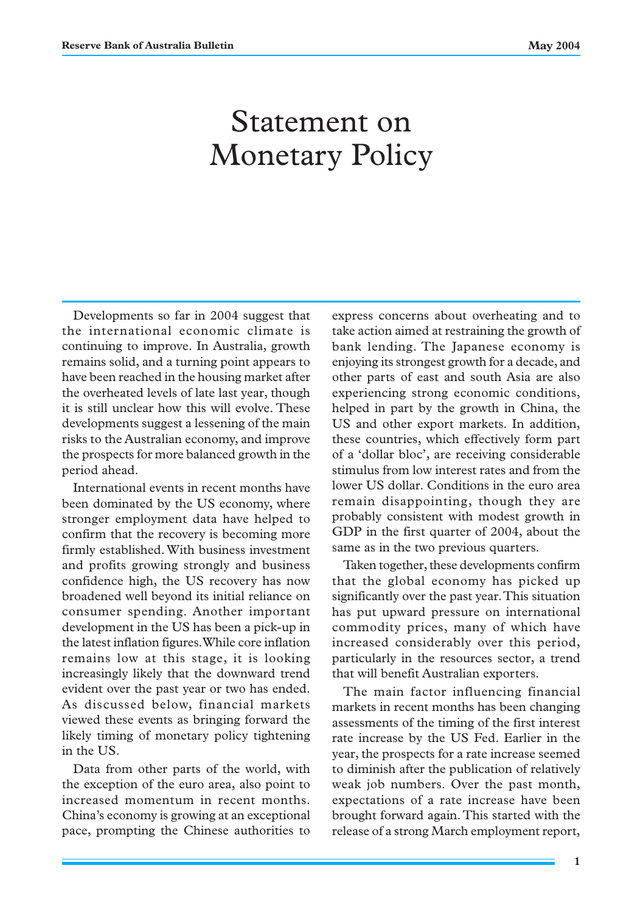# Statement on Monetary Policy

Developments so far in 2004 suggest that the international economic climate is continuing to improve. In Australia, growth remains solid, and a turning point appears to have been reached in the housing market after the overheated levels of late last year, though it is still unclear how this will evolve. These developments suggest a lessening of the main risks to the Australian economy, and improve the prospects for more balanced growth in the period ahead.

International events in recent months have been dominated by the US economy, where stronger employment data have helped to confirm that the recovery is becoming more firmly established. With business investment and profits growing strongly and business confidence high, the US recovery has now broadened well beyond its initial reliance on consumer spending. Another important development in the US has been a pick-up in the latest inflation figures. While core inflation remains low at this stage, it is looking increasingly likely that the downward trend evident over the past year or two has ended. As discussed below, financial markets viewed these events as bringing forward the likely timing of monetary policy tightening in the US.

Data from other parts of the world, with the exception of the euro area, also point to increased momentum in recent months. China's economy is growing at an exceptional pace, prompting the Chinese authorities to

express concerns about overheating and to take action aimed at restraining the growth of bank lending. The Japanese economy is enjoying its strongest growth for a decade, and other parts of east and south Asia are also experiencing strong economic conditions, helped in part by the growth in China, the US and other export markets. In addition, these countries, which effectively form part of a 'dollar bloc', are receiving considerable stimulus from low interest rates and from the lower US dollar. Conditions in the euro area remain disappointing, though they are probably consistent with modest growth in GDP in the first quarter of 2004, about the same as in the two previous quarters.

Taken together, these developments confirm that the global economy has picked up significantly over the past year. This situation has put upward pressure on international commodity prices, many of which have increased considerably over this period, particularly in the resources sector, a trend that will benefit Australian exporters.

The main factor influencing financial markets in recent months has been changing assessments of the timing of the first interest rate increase by the US Fed. Earlier in the year, the prospects for a rate increase seemed to diminish after the publication of relatively weak job numbers. Over the past month, expectations of a rate increase have been brought forward again. This started with the release of a strong March employment report,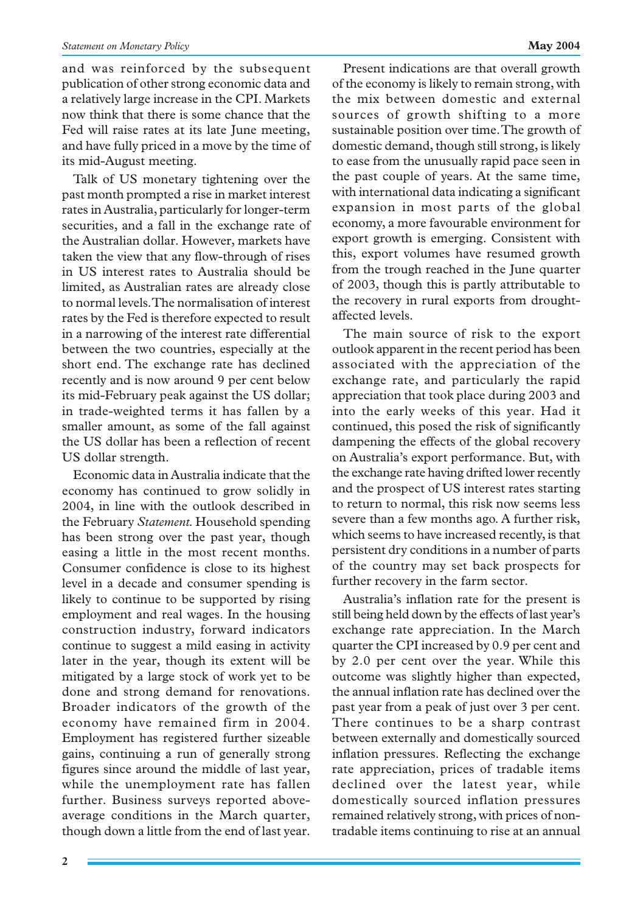#### *Statement on Monetary Policy* **May 2004**

and was reinforced by the subsequent publication of other strong economic data and a relatively large increase in the CPI. Markets now think that there is some chance that the Fed will raise rates at its late June meeting, and have fully priced in a move by the time of its mid-August meeting.

Talk of US monetary tightening over the past month prompted a rise in market interest rates in Australia, particularly for longer-term securities, and a fall in the exchange rate of the Australian dollar. However, markets have taken the view that any flow-through of rises in US interest rates to Australia should be limited, as Australian rates are already close to normal levels. The normalisation of interest rates by the Fed is therefore expected to result in a narrowing of the interest rate differential between the two countries, especially at the short end. The exchange rate has declined recently and is now around 9 per cent below its mid-February peak against the US dollar; in trade-weighted terms it has fallen by a smaller amount, as some of the fall against the US dollar has been a reflection of recent US dollar strength.

Economic data in Australia indicate that the economy has continued to grow solidly in 2004, in line with the outlook described in the February *Statement.* Household spending has been strong over the past year, though easing a little in the most recent months. Consumer confidence is close to its highest level in a decade and consumer spending is likely to continue to be supported by rising employment and real wages. In the housing construction industry, forward indicators continue to suggest a mild easing in activity later in the year, though its extent will be mitigated by a large stock of work yet to be done and strong demand for renovations. Broader indicators of the growth of the economy have remained firm in 2004. Employment has registered further sizeable gains, continuing a run of generally strong figures since around the middle of last year, while the unemployment rate has fallen further. Business surveys reported aboveaverage conditions in the March quarter, though down a little from the end of last year.

Present indications are that overall growth of the economy is likely to remain strong, with the mix between domestic and external sources of growth shifting to a more sustainable position over time. The growth of domestic demand, though still strong, is likely to ease from the unusually rapid pace seen in the past couple of years. At the same time, with international data indicating a significant expansion in most parts of the global economy, a more favourable environment for export growth is emerging. Consistent with this, export volumes have resumed growth from the trough reached in the June quarter of 2003, though this is partly attributable to the recovery in rural exports from droughtaffected levels.

The main source of risk to the export outlook apparent in the recent period has been associated with the appreciation of the exchange rate, and particularly the rapid appreciation that took place during 2003 and into the early weeks of this year. Had it continued, this posed the risk of significantly dampening the effects of the global recovery on Australia's export performance. But, with the exchange rate having drifted lower recently and the prospect of US interest rates starting to return to normal, this risk now seems less severe than a few months ago. A further risk, which seems to have increased recently, is that persistent dry conditions in a number of parts of the country may set back prospects for further recovery in the farm sector.

Australia's inflation rate for the present is still being held down by the effects of last year's exchange rate appreciation. In the March quarter the CPI increased by 0.9 per cent and by 2.0 per cent over the year. While this outcome was slightly higher than expected, the annual inflation rate has declined over the past year from a peak of just over 3 per cent. There continues to be a sharp contrast between externally and domestically sourced inflation pressures. Reflecting the exchange rate appreciation, prices of tradable items declined over the latest year, while domestically sourced inflation pressures remained relatively strong, with prices of nontradable items continuing to rise at an annual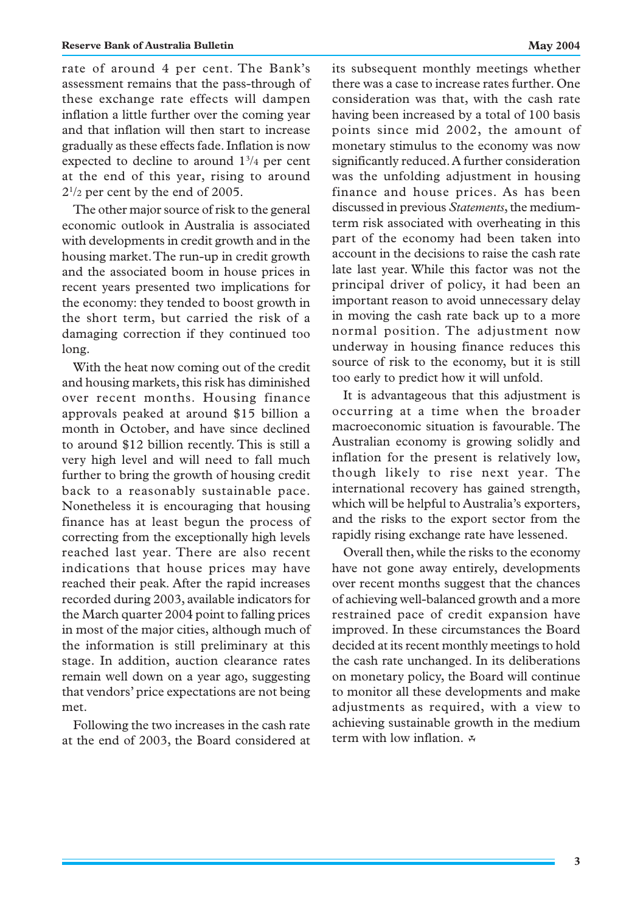rate of around 4 per cent. The Bank's assessment remains that the pass-through of these exchange rate effects will dampen inflation a little further over the coming year and that inflation will then start to increase gradually as these effects fade. Inflation is now expected to decline to around  $1\frac{3}{4}$  per cent at the end of this year, rising to around  $2^{1/2}$  per cent by the end of 2005.

The other major source of risk to the general economic outlook in Australia is associated with developments in credit growth and in the housing market. The run-up in credit growth and the associated boom in house prices in recent years presented two implications for the economy: they tended to boost growth in the short term, but carried the risk of a damaging correction if they continued too long.

With the heat now coming out of the credit and housing markets, this risk has diminished over recent months. Housing finance approvals peaked at around \$15 billion a month in October, and have since declined to around \$12 billion recently. This is still a very high level and will need to fall much further to bring the growth of housing credit back to a reasonably sustainable pace. Nonetheless it is encouraging that housing finance has at least begun the process of correcting from the exceptionally high levels reached last year. There are also recent indications that house prices may have reached their peak. After the rapid increases recorded during 2003, available indicators for the March quarter 2004 point to falling prices in most of the major cities, although much of the information is still preliminary at this stage. In addition, auction clearance rates remain well down on a year ago, suggesting that vendors' price expectations are not being met.

Following the two increases in the cash rate at the end of 2003, the Board considered at its subsequent monthly meetings whether there was a case to increase rates further. One consideration was that, with the cash rate having been increased by a total of 100 basis points since mid 2002, the amount of monetary stimulus to the economy was now significantly reduced. A further consideration was the unfolding adjustment in housing finance and house prices. As has been discussed in previous *Statements*, the mediumterm risk associated with overheating in this part of the economy had been taken into account in the decisions to raise the cash rate late last year. While this factor was not the principal driver of policy, it had been an important reason to avoid unnecessary delay in moving the cash rate back up to a more normal position. The adjustment now underway in housing finance reduces this source of risk to the economy, but it is still too early to predict how it will unfold.

It is advantageous that this adjustment is occurring at a time when the broader macroeconomic situation is favourable. The Australian economy is growing solidly and inflation for the present is relatively low, though likely to rise next year. The international recovery has gained strength, which will be helpful to Australia's exporters, and the risks to the export sector from the rapidly rising exchange rate have lessened.

Overall then, while the risks to the economy have not gone away entirely, developments over recent months suggest that the chances of achieving well-balanced growth and a more restrained pace of credit expansion have improved. In these circumstances the Board decided at its recent monthly meetings to hold the cash rate unchanged. In its deliberations on monetary policy, the Board will continue to monitor all these developments and make adjustments as required, with a view to achieving sustainable growth in the medium term with low inflation  $\boldsymbol{\mathcal{R}}$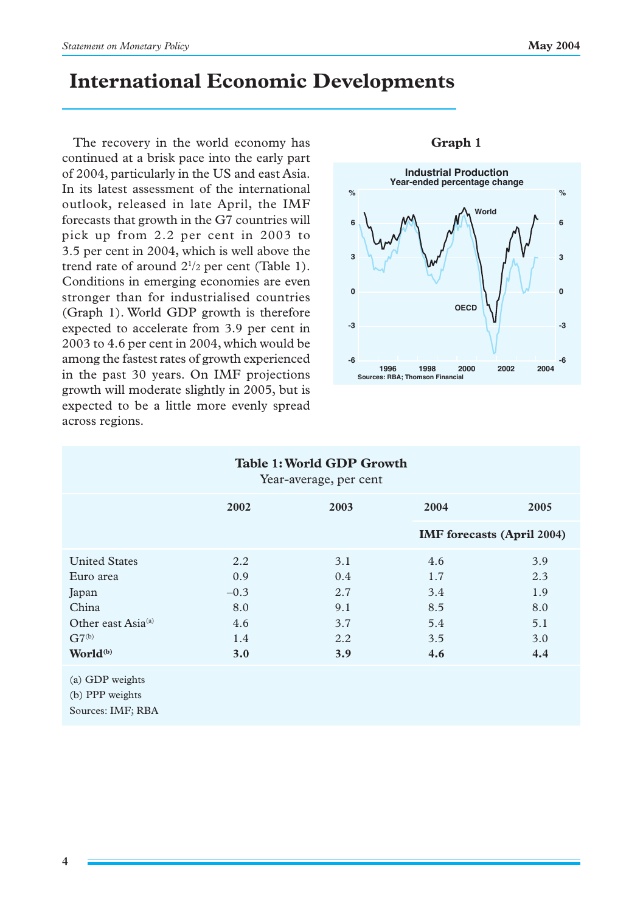# **International Economic Developments**

The recovery in the world economy has continued at a brisk pace into the early part of 2004, particularly in the US and east Asia. In its latest assessment of the international outlook, released in late April, the IMF forecasts that growth in the G7 countries will pick up from 2.2 per cent in 2003 to 3.5 per cent in 2004, which is well above the trend rate of around  $2^{1/2}$  per cent (Table 1). Conditions in emerging economies are even stronger than for industrialised countries (Graph 1). World GDP growth is therefore expected to accelerate from 3.9 per cent in 2003 to 4.6 per cent in 2004, which would be among the fastest rates of growth experienced in the past 30 years. On IMF projections growth will moderate slightly in 2005, but is expected to be a little more evenly spread across regions.



| Table 1: World GDP Growth |  |
|---------------------------|--|
| Year-average, per cent    |  |

|                                                         | 2002   | 2003 | 2004 | 2005                              |
|---------------------------------------------------------|--------|------|------|-----------------------------------|
|                                                         |        |      |      | <b>IMF</b> forecasts (April 2004) |
| <b>United States</b>                                    | 2.2    | 3.1  | 4.6  | 3.9                               |
| Euro area                                               | 0.9    | 0.4  | 1.7  | 2.3                               |
| Japan                                                   | $-0.3$ | 2.7  | 3.4  | 1.9                               |
| China                                                   | 8.0    | 9.1  | 8.5  | 8.0                               |
| Other east Asia <sup>(a)</sup>                          | 4.6    | 3.7  | 5.4  | 5.1                               |
| $G7^{(b)}$                                              | 1.4    | 2.2  | 3.5  | 3.0                               |
| World <sup>(b)</sup>                                    | 3.0    | 3.9  | 4.6  | 4.4                               |
| (a) GDP weights<br>(b) PPP weights<br>Sources: IMF; RBA |        |      |      |                                   |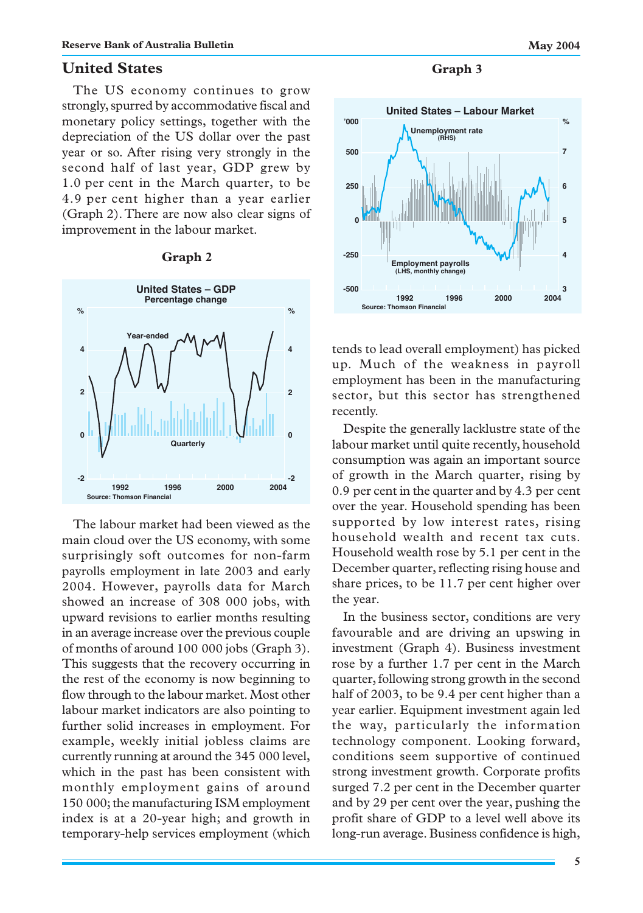# **United States**

The US economy continues to grow strongly, spurred by accommodative fiscal and monetary policy settings, together with the depreciation of the US dollar over the past year or so. After rising very strongly in the second half of last year, GDP grew by 1.0 per cent in the March quarter, to be 4.9 per cent higher than a year earlier (Graph 2). There are now also clear signs of improvement in the labour market.

#### **Graph 2**



The labour market had been viewed as the main cloud over the US economy, with some surprisingly soft outcomes for non-farm payrolls employment in late 2003 and early 2004. However, payrolls data for March showed an increase of 308 000 jobs, with upward revisions to earlier months resulting in an average increase over the previous couple of months of around 100 000 jobs (Graph 3). This suggests that the recovery occurring in the rest of the economy is now beginning to flow through to the labour market. Most other labour market indicators are also pointing to further solid increases in employment. For example, weekly initial jobless claims are currently running at around the 345 000 level, which in the past has been consistent with monthly employment gains of around 150 000; the manufacturing ISM employment index is at a 20-year high; and growth in temporary-help services employment (which



tends to lead overall employment) has picked up. Much of the weakness in payroll employment has been in the manufacturing sector, but this sector has strengthened recently.

Despite the generally lacklustre state of the labour market until quite recently, household consumption was again an important source of growth in the March quarter, rising by 0.9 per cent in the quarter and by 4.3 per cent over the year. Household spending has been supported by low interest rates, rising household wealth and recent tax cuts. Household wealth rose by 5.1 per cent in the December quarter, reflecting rising house and share prices, to be 11.7 per cent higher over the year.

In the business sector, conditions are very favourable and are driving an upswing in investment (Graph 4). Business investment rose by a further 1.7 per cent in the March quarter, following strong growth in the second half of 2003, to be 9.4 per cent higher than a year earlier. Equipment investment again led the way, particularly the information technology component. Looking forward, conditions seem supportive of continued strong investment growth. Corporate profits surged 7.2 per cent in the December quarter and by 29 per cent over the year, pushing the profit share of GDP to a level well above its long-run average. Business confidence is high,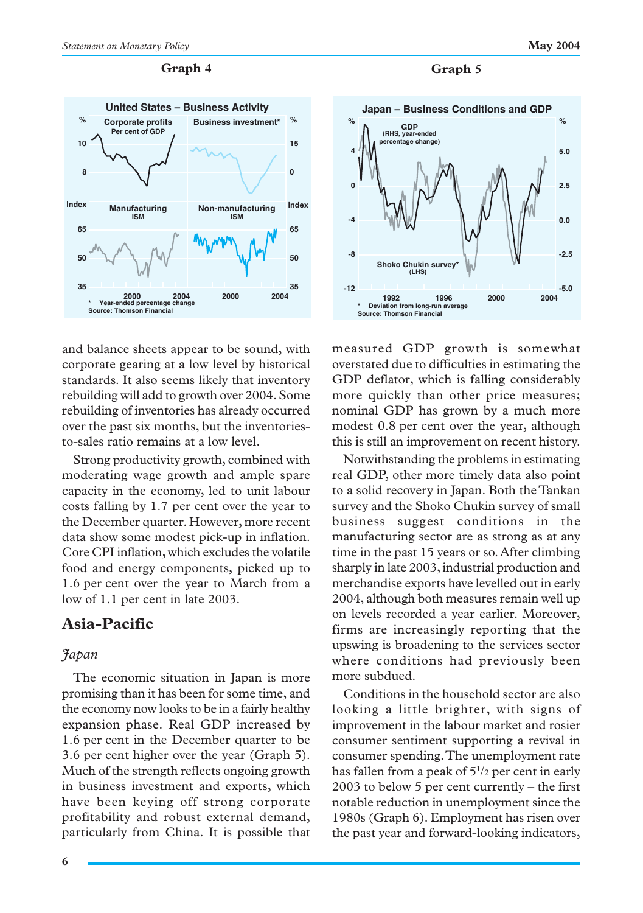

and balance sheets appear to be sound, with corporate gearing at a low level by historical standards. It also seems likely that inventory rebuilding will add to growth over 2004. Some rebuilding of inventories has already occurred over the past six months, but the inventoriesto-sales ratio remains at a low level.

Strong productivity growth, combined with moderating wage growth and ample spare capacity in the economy, led to unit labour costs falling by 1.7 per cent over the year to the December quarter. However, more recent data show some modest pick-up in inflation. Core CPI inflation, which excludes the volatile food and energy components, picked up to 1.6 per cent over the year to March from a low of 1.1 per cent in late 2003.

# **Asia-Pacific**

# *Japan*

The economic situation in Japan is more promising than it has been for some time, and the economy now looks to be in a fairly healthy expansion phase. Real GDP increased by 1.6 per cent in the December quarter to be 3.6 per cent higher over the year (Graph 5). Much of the strength reflects ongoing growth in business investment and exports, which have been keying off strong corporate profitability and robust external demand, particularly from China. It is possible that



**Graph 5**

measured GDP growth is somewhat overstated due to difficulties in estimating the GDP deflator, which is falling considerably more quickly than other price measures; nominal GDP has grown by a much more modest 0.8 per cent over the year, although this is still an improvement on recent history.

Notwithstanding the problems in estimating real GDP, other more timely data also point to a solid recovery in Japan. Both the Tankan survey and the Shoko Chukin survey of small business suggest conditions in the manufacturing sector are as strong as at any time in the past 15 years or so. After climbing sharply in late 2003, industrial production and merchandise exports have levelled out in early 2004, although both measures remain well up on levels recorded a year earlier. Moreover, firms are increasingly reporting that the upswing is broadening to the services sector where conditions had previously been more subdued.

Conditions in the household sector are also looking a little brighter, with signs of improvement in the labour market and rosier consumer sentiment supporting a revival in consumer spending. The unemployment rate has fallen from a peak of  $5\frac{1}{2}$  per cent in early 2003 to below 5 per cent currently – the first notable reduction in unemployment since the 1980s (Graph 6). Employment has risen over the past year and forward-looking indicators,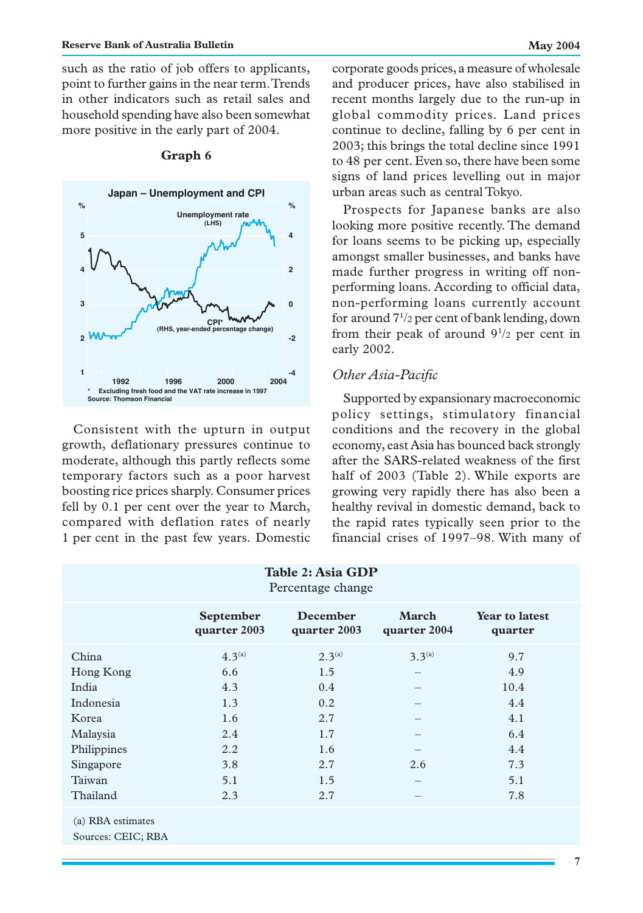such as the ratio of job offers to applicants, point to further gains in the near term. Trends in other indicators such as retail sales and household spending have also been somewhat more positive in the early part of 2004.



### **Graph 6**

Consistent with the upturn in output growth, deflationary pressures continue to moderate, although this partly reflects some temporary factors such as a poor harvest boosting rice prices sharply. Consumer prices fell by 0.1 per cent over the year to March, compared with deflation rates of nearly 1 per cent in the past few years. Domestic corporate goods prices, a measure of wholesale and producer prices, have also stabilised in recent months largely due to the run-up in global commodity prices. Land prices continue to decline, falling by 6 per cent in 2003; this brings the total decline since 1991 to 48 per cent. Even so, there have been some signs of land prices levelling out in major urban areas such as central Tokyo.

Prospects for Japanese banks are also looking more positive recently. The demand for loans seems to be picking up, especially amongst smaller businesses, and banks have made further progress in writing off nonperforming loans. According to official data, non-performing loans currently account for around 71 /2 per cent of bank lending, down from their peak of around  $9^{1}/2$  per cent in early 2002.

# *Other Asia-Pacific*

Supported by expansionary macroeconomic policy settings, stimulatory financial conditions and the recovery in the global economy, east Asia has bounced back strongly after the SARS-related weakness of the first half of 2003 (Table 2). While exports are growing very rapidly there has also been a healthy revival in domestic demand, back to the rapid rates typically seen prior to the financial crises of 1997–98. With many of

| Table 2: Asia GDP<br>Percentage change |                           |                                 |                       |                                  |
|----------------------------------------|---------------------------|---------------------------------|-----------------------|----------------------------------|
|                                        | September<br>quarter 2003 | <b>December</b><br>quarter 2003 | March<br>quarter 2004 | <b>Year to latest</b><br>quarter |
| China                                  | $4.3^{(a)}$               | $2.3^{(a)}$                     | $3.3^{(a)}$           | 9.7                              |
| Hong Kong                              | 6.6                       | 1.5                             | -                     | 4.9                              |
| India                                  | 4.3                       | 0.4                             |                       | 10.4                             |
| Indonesia                              | 1.3                       | 0.2                             |                       | 4.4                              |
| Korea                                  | 1.6                       | 2.7                             |                       | 4.1                              |
| Malaysia                               | 2.4                       | 1.7                             |                       | 6.4                              |
| Philippines                            | 2.2                       | 1.6                             |                       | 4.4                              |
| Singapore                              | 3.8                       | 2.7                             | 2.6                   | 7.3                              |
| Taiwan                                 | 5.1                       | 1.5                             | -                     | 5.1                              |
| Thailand                               | 2.3                       | 2.7                             |                       | 7.8                              |
|                                        |                           |                                 |                       |                                  |

(a) RBA estimates

Sources: CEIC; RBA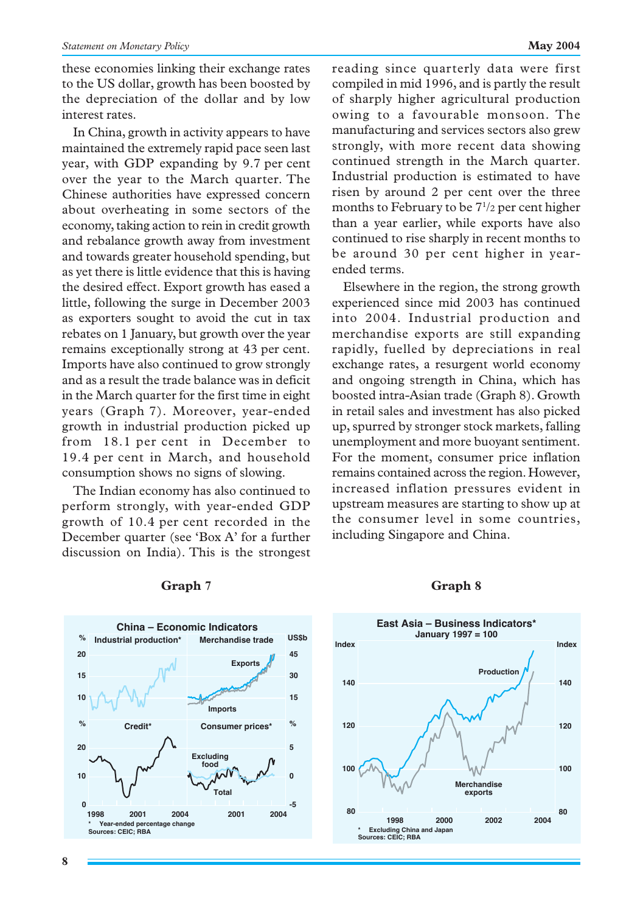these economies linking their exchange rates to the US dollar, growth has been boosted by the depreciation of the dollar and by low interest rates.

In China, growth in activity appears to have maintained the extremely rapid pace seen last year, with GDP expanding by 9.7 per cent over the year to the March quarter. The Chinese authorities have expressed concern about overheating in some sectors of the economy, taking action to rein in credit growth and rebalance growth away from investment and towards greater household spending, but as yet there is little evidence that this is having the desired effect. Export growth has eased a little, following the surge in December 2003 as exporters sought to avoid the cut in tax rebates on 1 January, but growth over the year remains exceptionally strong at 43 per cent. Imports have also continued to grow strongly and as a result the trade balance was in deficit in the March quarter for the first time in eight years (Graph 7). Moreover, year-ended growth in industrial production picked up from 18.1 per cent in December to 19.4 per cent in March, and household consumption shows no signs of slowing.

The Indian economy has also continued to perform strongly, with year-ended GDP growth of 10.4 per cent recorded in the December quarter (see 'Box A' for a further discussion on India). This is the strongest reading since quarterly data were first compiled in mid 1996, and is partly the result of sharply higher agricultural production owing to a favourable monsoon. The manufacturing and services sectors also grew strongly, with more recent data showing continued strength in the March quarter. Industrial production is estimated to have risen by around 2 per cent over the three months to February to be 71 /2 per cent higher than a year earlier, while exports have also continued to rise sharply in recent months to be around 30 per cent higher in yearended terms.

Elsewhere in the region, the strong growth experienced since mid 2003 has continued into 2004. Industrial production and merchandise exports are still expanding rapidly, fuelled by depreciations in real exchange rates, a resurgent world economy and ongoing strength in China, which has boosted intra-Asian trade (Graph 8). Growth in retail sales and investment has also picked up, spurred by stronger stock markets, falling unemployment and more buoyant sentiment. For the moment, consumer price inflation remains contained across the region. However, increased inflation pressures evident in upstream measures are starting to show up at the consumer level in some countries, including Singapore and China.





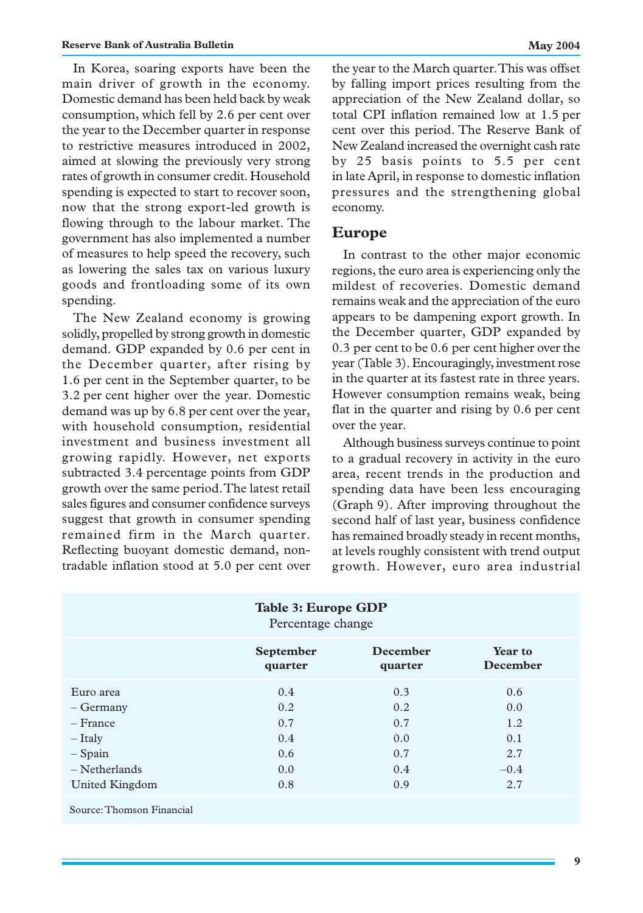In Korea, soaring exports have been the main driver of growth in the economy. Domestic demand has been held back by weak consumption, which fell by 2.6 per cent over the year to the December quarter in response to restrictive measures introduced in 2002, aimed at slowing the previously very strong rates of growth in consumer credit. Household spending is expected to start to recover soon, now that the strong export-led growth is flowing through to the labour market. The government has also implemented a number of measures to help speed the recovery, such as lowering the sales tax on various luxury goods and frontloading some of its own spending.

The New Zealand economy is growing solidly, propelled by strong growth in domestic demand. GDP expanded by 0.6 per cent in the December quarter, after rising by 1.6 per cent in the September quarter, to be 3.2 per cent higher over the year. Domestic demand was up by 6.8 per cent over the year, with household consumption, residential investment and business investment all growing rapidly. However, net exports subtracted 3.4 percentage points from GDP growth over the same period. The latest retail sales figures and consumer confidence surveys suggest that growth in consumer spending remained firm in the March quarter. Reflecting buoyant domestic demand, nontradable inflation stood at 5.0 per cent over the year to the March quarter. This was offset by falling import prices resulting from the appreciation of the New Zealand dollar, so total CPI inflation remained low at 1.5 per cent over this period. The Reserve Bank of New Zealand increased the overnight cash rate by 25 basis points to 5.5 per cent in late April, in response to domestic inflation pressures and the strengthening global economy.

# **Europe**

In contrast to the other major economic regions, the euro area is experiencing only the mildest of recoveries. Domestic demand remains weak and the appreciation of the euro appears to be dampening export growth. In the December quarter, GDP expanded by 0.3 per cent to be 0.6 per cent higher over the year (Table 3). Encouragingly, investment rose in the quarter at its fastest rate in three years. However consumption remains weak, being flat in the quarter and rising by 0.6 per cent over the year.

Although business surveys continue to point to a gradual recovery in activity in the euro area, recent trends in the production and spending data have been less encouraging (Graph 9). After improving throughout the second half of last year, business confidence has remained broadly steady in recent months, at levels roughly consistent with trend output growth. However, euro area industrial

| Table 3: Europe GDP<br>Percentage change                       |            |                 |                 |
|----------------------------------------------------------------|------------|-----------------|-----------------|
|                                                                | September  | <b>December</b> | Year to         |
|                                                                | quarter    | quarter         | <b>December</b> |
| Euro area                                                      | 0.4        | 0.3             | 0.6             |
| – Germany                                                      | 0.2        | 0.2             | 0.0             |
| – France                                                       | 0.7        | 0.7             | 1.2             |
| $-$ Italy                                                      | 0.4        | 0.0             | 0.1             |
| $-$ Spain                                                      | 0.6        | 0.7             | 2.7             |
| $-$ Netherlands<br>United Kingdom<br>Source: Thomson Financial | 0.0<br>0.8 | 0.4<br>0.9      | $-0.4$<br>2.7   |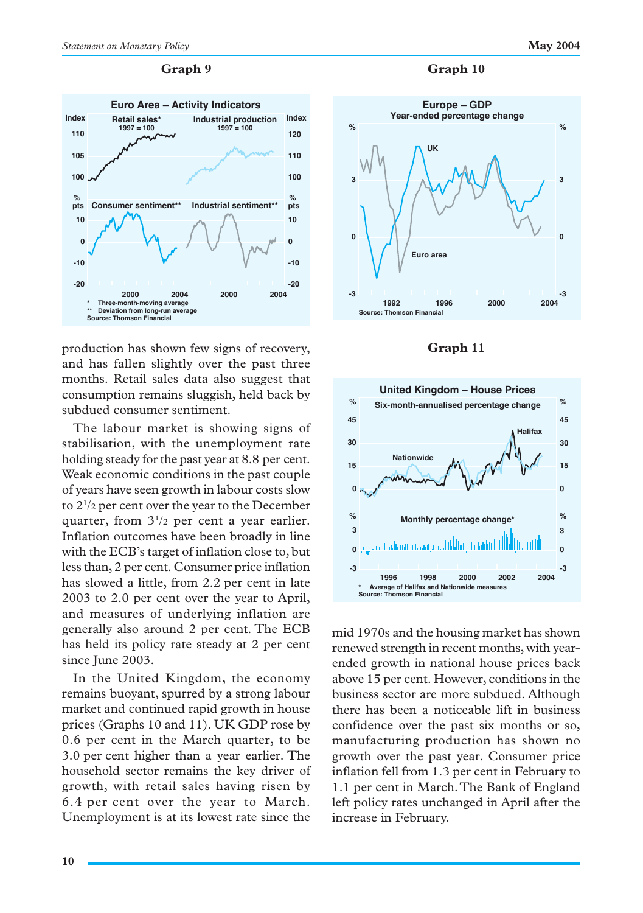

production has shown few signs of recovery, and has fallen slightly over the past three months. Retail sales data also suggest that consumption remains sluggish, held back by subdued consumer sentiment.

The labour market is showing signs of stabilisation, with the unemployment rate holding steady for the past year at 8.8 per cent. Weak economic conditions in the past couple of years have seen growth in labour costs slow to 21 /2 per cent over the year to the December quarter, from  $3^{1/2}$  per cent a year earlier. Inflation outcomes have been broadly in line with the ECB's target of inflation close to, but less than, 2 per cent. Consumer price inflation has slowed a little, from 2.2 per cent in late 2003 to 2.0 per cent over the year to April, and measures of underlying inflation are generally also around 2 per cent. The ECB has held its policy rate steady at 2 per cent since June 2003.

In the United Kingdom, the economy remains buoyant, spurred by a strong labour market and continued rapid growth in house prices (Graphs 10 and 11). UK GDP rose by 0.6 per cent in the March quarter, to be 3.0 per cent higher than a year earlier. The household sector remains the key driver of growth, with retail sales having risen by 6.4 per cent over the year to March. Unemployment is at its lowest rate since the



**Graph 10**

| וח<br>п<br>rи |  |  |
|---------------|--|--|
|---------------|--|--|



mid 1970s and the housing market has shown renewed strength in recent months, with yearended growth in national house prices back above 15 per cent. However, conditions in the business sector are more subdued. Although there has been a noticeable lift in business confidence over the past six months or so, manufacturing production has shown no growth over the past year. Consumer price inflation fell from 1.3 per cent in February to 1.1 per cent in March. The Bank of England left policy rates unchanged in April after the increase in February.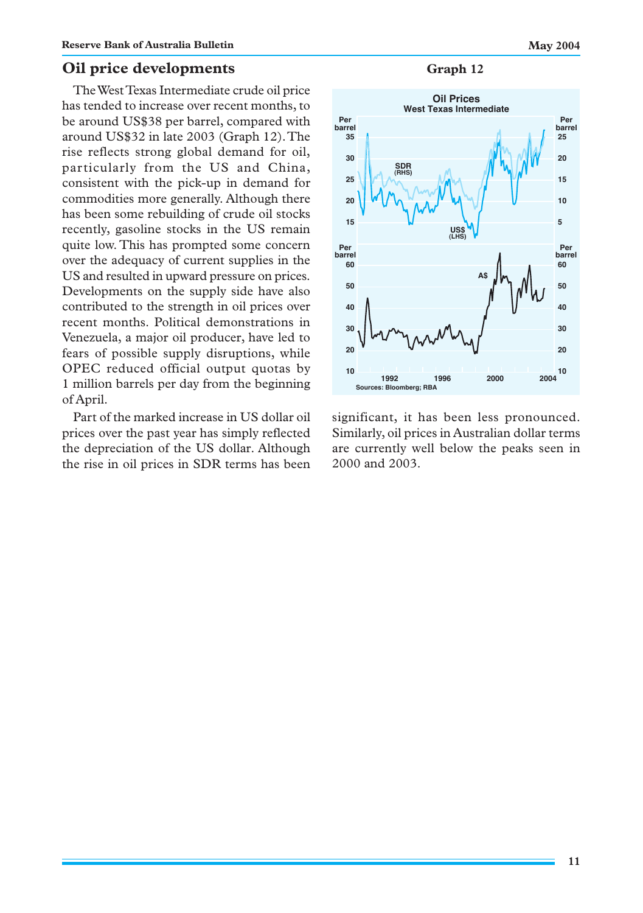# **Oil price developments**

The West Texas Intermediate crude oil price has tended to increase over recent months, to be around US\$38 per barrel, compared with around US\$32 in late 2003 (Graph 12). The rise reflects strong global demand for oil, particularly from the US and China, consistent with the pick-up in demand for commodities more generally. Although there has been some rebuilding of crude oil stocks recently, gasoline stocks in the US remain quite low. This has prompted some concern over the adequacy of current supplies in the US and resulted in upward pressure on prices. Developments on the supply side have also contributed to the strength in oil prices over recent months. Political demonstrations in Venezuela, a major oil producer, have led to fears of possible supply disruptions, while OPEC reduced official output quotas by 1 million barrels per day from the beginning of April.

Part of the marked increase in US dollar oil prices over the past year has simply reflected the depreciation of the US dollar. Although the rise in oil prices in SDR terms has been

**Graph 12**



significant, it has been less pronounced. Similarly, oil prices in Australian dollar terms are currently well below the peaks seen in 2000 and 2003.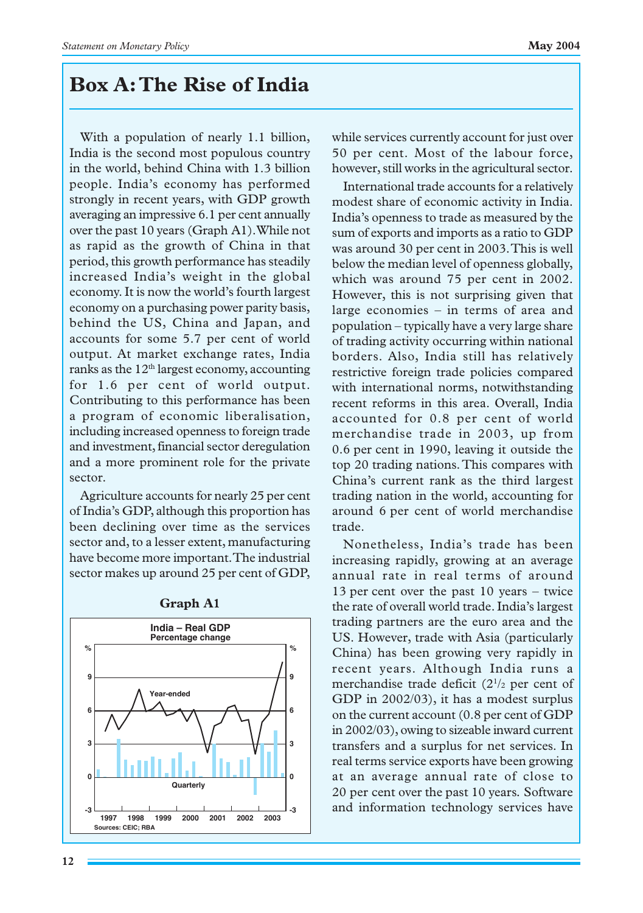# **Box A: The Rise of India**

With a population of nearly 1.1 billion, India is the second most populous country in the world, behind China with 1.3 billion people. India's economy has performed strongly in recent years, with GDP growth averaging an impressive 6.1 per cent annually over the past 10 years (Graph A1). While not as rapid as the growth of China in that period, this growth performance has steadily increased India's weight in the global economy. It is now the world's fourth largest economy on a purchasing power parity basis, behind the US, China and Japan, and accounts for some 5.7 per cent of world output. At market exchange rates, India ranks as the 12<sup>th</sup> largest economy, accounting for 1.6 per cent of world output. Contributing to this performance has been a program of economic liberalisation, including increased openness to foreign trade and investment, financial sector deregulation and a more prominent role for the private sector.

Agriculture accounts for nearly 25 per cent of India's GDP, although this proportion has been declining over time as the services sector and, to a lesser extent, manufacturing have become more important. The industrial sector makes up around 25 per cent of GDP,



## **Graph A1**

while services currently account for just over 50 per cent. Most of the labour force, however, still works in the agricultural sector.

International trade accounts for a relatively modest share of economic activity in India. India's openness to trade as measured by the sum of exports and imports as a ratio to GDP was around 30 per cent in 2003. This is well below the median level of openness globally, which was around 75 per cent in 2002. However, this is not surprising given that large economies – in terms of area and population – typically have a very large share of trading activity occurring within national borders. Also, India still has relatively restrictive foreign trade policies compared with international norms, notwithstanding recent reforms in this area. Overall, India accounted for 0.8 per cent of world merchandise trade in 2003, up from 0.6 per cent in 1990, leaving it outside the top 20 trading nations. This compares with China's current rank as the third largest trading nation in the world, accounting for around 6 per cent of world merchandise trade.

Nonetheless, India's trade has been increasing rapidly, growing at an average annual rate in real terms of around 13 per cent over the past 10 years – twice the rate of overall world trade. India's largest trading partners are the euro area and the US. However, trade with Asia (particularly China) has been growing very rapidly in recent years. Although India runs a merchandise trade deficit (21 /2 per cent of GDP in 2002/03), it has a modest surplus on the current account (0.8 per cent of GDP in 2002/03), owing to sizeable inward current transfers and a surplus for net services. In real terms service exports have been growing at an average annual rate of close to 20 per cent over the past 10 years*.* Software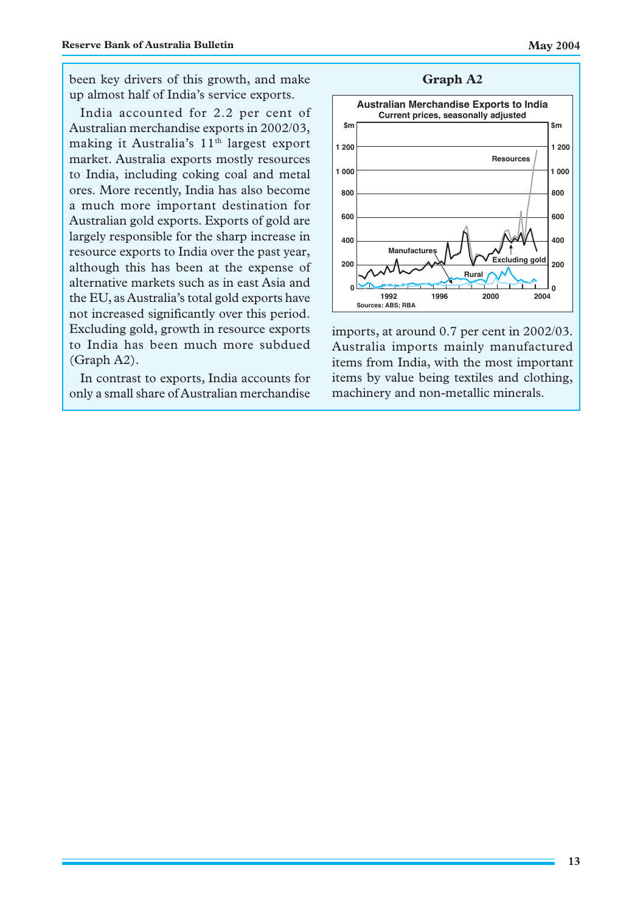India accounted for 2.2 per cent of Australian merchandise exports in 2002/03, making it Australia's 11<sup>th</sup> largest export market. Australia exports mostly resources to India, including coking coal and metal ores. More recently, India has also become a much more important destination for Australian gold exports. Exports of gold are largely responsible for the sharp increase in resource exports to India over the past year, although this has been at the expense of alternative markets such as in east Asia and the EU, as Australia's total gold exports have not increased significantly over this period. Excluding gold, growth in resource exports to India has been much more subdued (Graph A2).

In contrast to exports, India accounts for only a small share of Australian merchandise





imports, at around 0.7 per cent in 2002/03. Australia imports mainly manufactured items from India, with the most important items by value being textiles and clothing, machinery and non-metallic minerals.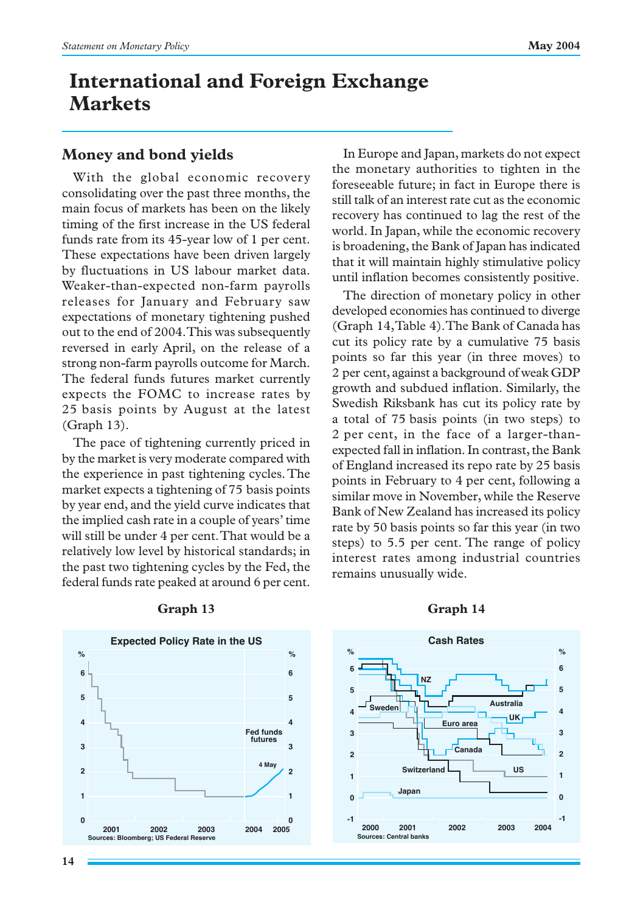# **International and Foreign Exchange Markets**

# **Money and bond yields**

With the global economic recovery consolidating over the past three months, the main focus of markets has been on the likely timing of the first increase in the US federal funds rate from its 45-year low of 1 per cent. These expectations have been driven largely by fluctuations in US labour market data. Weaker-than-expected non-farm payrolls releases for January and February saw expectations of monetary tightening pushed out to the end of 2004. This was subsequently reversed in early April, on the release of a strong non-farm payrolls outcome for March. The federal funds futures market currently expects the FOMC to increase rates by 25 basis points by August at the latest (Graph 13).

The pace of tightening currently priced in by the market is very moderate compared with the experience in past tightening cycles. The market expects a tightening of 75 basis points by year end, and the yield curve indicates that the implied cash rate in a couple of years' time will still be under 4 per cent. That would be a relatively low level by historical standards; in the past two tightening cycles by the Fed, the federal funds rate peaked at around 6 per cent.

In Europe and Japan, markets do not expect the monetary authorities to tighten in the foreseeable future; in fact in Europe there is still talk of an interest rate cut as the economic recovery has continued to lag the rest of the world. In Japan, while the economic recovery is broadening, the Bank of Japan has indicated that it will maintain highly stimulative policy until inflation becomes consistently positive.

The direction of monetary policy in other developed economies has continued to diverge (Graph 14, Table 4). The Bank of Canada has cut its policy rate by a cumulative 75 basis points so far this year (in three moves) to 2 per cent, against a background of weak GDP growth and subdued inflation. Similarly, the Swedish Riksbank has cut its policy rate by a total of 75 basis points (in two steps) to 2 per cent, in the face of a larger-thanexpected fall in inflation. In contrast, the Bank of England increased its repo rate by 25 basis points in February to 4 per cent, following a similar move in November, while the Reserve Bank of New Zealand has increased its policy rate by 50 basis points so far this year (in two steps) to 5.5 per cent. The range of policy interest rates among industrial countries remains unusually wide.

#### **Graph 14**



# **Graph 13**

**Expected Policy Rate in the US**

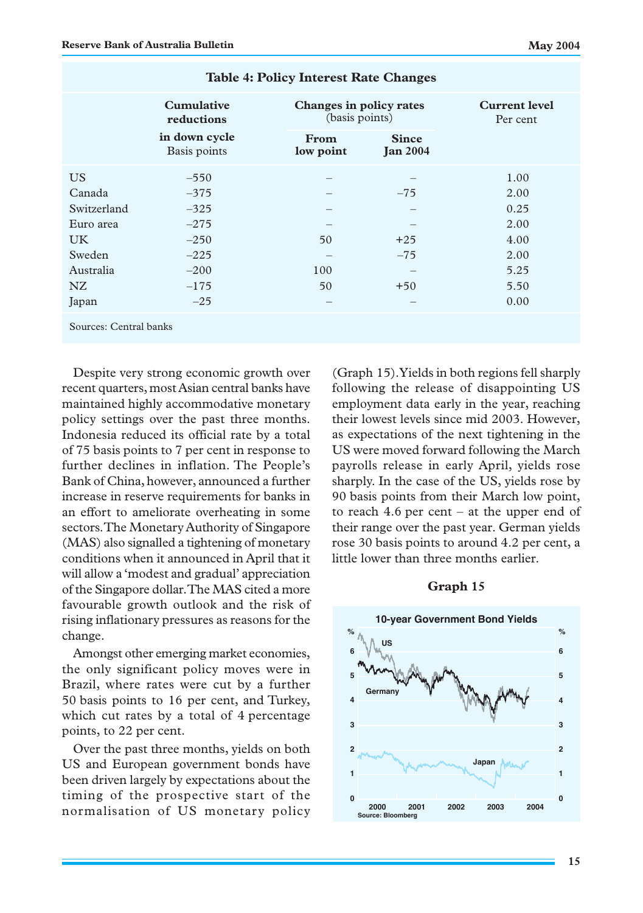|                        | <b>Cumulative</b><br>reductions | Changes in policy rates<br>(basis points) |                                 | <b>Current level</b><br>Per cent |  |
|------------------------|---------------------------------|-------------------------------------------|---------------------------------|----------------------------------|--|
|                        | in down cycle<br>Basis points   | <b>From</b><br>low point                  | <b>Since</b><br><b>Jan 2004</b> |                                  |  |
| <b>US</b>              | $-550$                          |                                           |                                 | 1.00                             |  |
| Canada                 | $-375$                          |                                           | $-75$                           | 2.00                             |  |
|                        |                                 |                                           |                                 |                                  |  |
| Switzerland            | $-325$                          |                                           |                                 | 0.25                             |  |
| Euro area              | $-275$                          |                                           |                                 | 2.00                             |  |
| UK.                    | $-250$                          | 50                                        | $+25$                           | 4.00                             |  |
| Sweden                 | $-225$                          |                                           | $-75$                           | 2.00                             |  |
| Australia              | $-200$                          | 100                                       | $\qquad \qquad$                 | 5.25                             |  |
| NZ.                    | $-175$                          | 50                                        | $+50$                           | 5.50                             |  |
| Japan                  | $-25$                           | $\overline{\phantom{m}}$                  | $\overline{\phantom{a}}$        | 0.00                             |  |
| Sources: Central banks |                                 |                                           |                                 |                                  |  |

### **Table 4: Policy Interest Rate Changes**

Despite very strong economic growth over recent quarters, most Asian central banks have maintained highly accommodative monetary policy settings over the past three months. Indonesia reduced its official rate by a total of 75 basis points to 7 per cent in response to further declines in inflation. The People's Bank of China, however, announced a further increase in reserve requirements for banks in an effort to ameliorate overheating in some sectors. The Monetary Authority of Singapore (MAS) also signalled a tightening of monetary conditions when it announced in April that it will allow a 'modest and gradual' appreciation of the Singapore dollar. The MAS cited a more favourable growth outlook and the risk of rising inflationary pressures as reasons for the change.

Amongst other emerging market economies, the only significant policy moves were in Brazil, where rates were cut by a further 50 basis points to 16 per cent, and Turkey, which cut rates by a total of 4 percentage points, to 22 per cent.

Over the past three months, yields on both US and European government bonds have been driven largely by expectations about the timing of the prospective start of the normalisation of US monetary policy (Graph 15). Yields in both regions fell sharply following the release of disappointing US employment data early in the year, reaching their lowest levels since mid 2003. However, as expectations of the next tightening in the US were moved forward following the March payrolls release in early April, yields rose sharply. In the case of the US, yields rose by 90 basis points from their March low point, to reach 4.6 per cent – at the upper end of their range over the past year. German yields rose 30 basis points to around 4.2 per cent, a little lower than three months earlier.

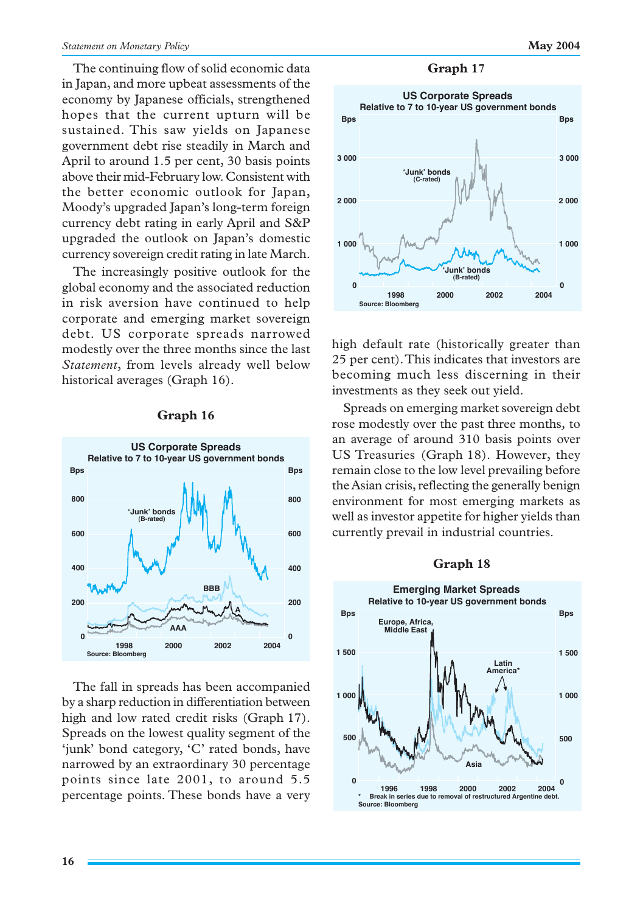The continuing flow of solid economic data in Japan, and more upbeat assessments of the economy by Japanese officials, strengthened hopes that the current upturn will be sustained. This saw yields on Japanese government debt rise steadily in March and April to around 1.5 per cent, 30 basis points above their mid-February low. Consistent with the better economic outlook for Japan, Moody's upgraded Japan's long-term foreign currency debt rating in early April and S&P upgraded the outlook on Japan's domestic currency sovereign credit rating in late March.

The increasingly positive outlook for the global economy and the associated reduction in risk aversion have continued to help corporate and emerging market sovereign debt. US corporate spreads narrowed modestly over the three months since the last *Statement*, from levels already well below historical averages (Graph 16).



#### **Graph 16**

The fall in spreads has been accompanied by a sharp reduction in differentiation between high and low rated credit risks (Graph 17). Spreads on the lowest quality segment of the 'junk' bond category, 'C' rated bonds, have narrowed by an extraordinary 30 percentage points since late 2001, to around 5.5 percentage points. These bonds have a very

#### **Graph 17**



high default rate (historically greater than 25 per cent). This indicates that investors are becoming much less discerning in their investments as they seek out yield.

Spreads on emerging market sovereign debt rose modestly over the past three months*,* to an average of around 310 basis points over US Treasuries (Graph 18). However, they remain close to the low level prevailing before the Asian crisis, reflecting the generally benign environment for most emerging markets as well as investor appetite for higher yields than currently prevail in industrial countries.

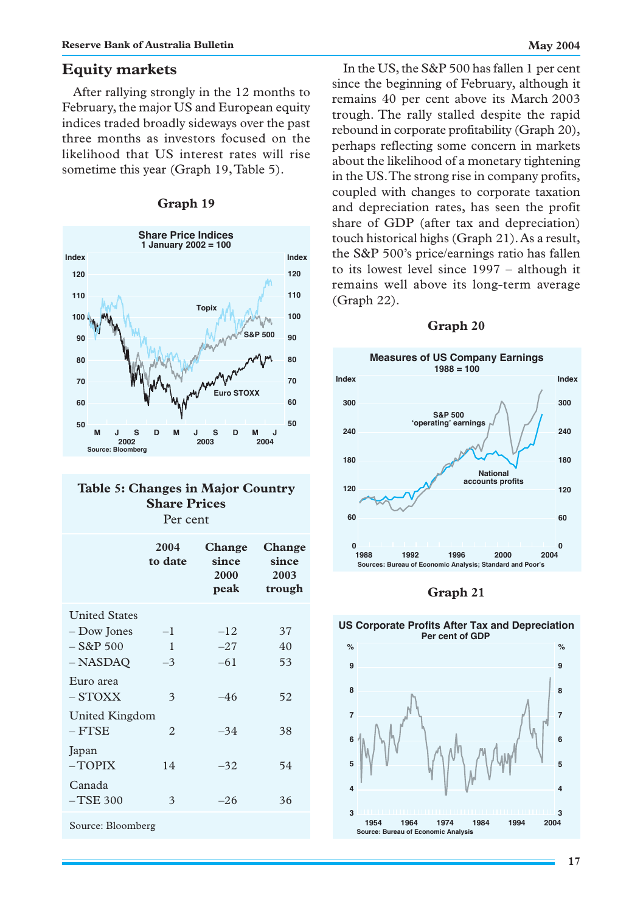# **Equity markets**

After rallying strongly in the 12 months to February, the major US and European equity indices traded broadly sideways over the past three months as investors focused on the likelihood that US interest rates will rise sometime this year (Graph 19, Table 5).



### **Graph 19**

# **Table 5: Changes in Major Country Share Prices** Per cent

|                            | 2004<br>to date | <b>Change</b><br>since<br><b>2000</b><br>peak | <b>Change</b><br>since<br>2003<br>trough |
|----------------------------|-----------------|-----------------------------------------------|------------------------------------------|
| <b>United States</b>       |                 |                                               |                                          |
| – Dow Jones                | $-1$            | $-12$                                         | 37                                       |
| $-$ S&P 500                | 1               | $-27$                                         | 40                                       |
| – NASDAQ                   | $-3$            | $-61$                                         | 53                                       |
| Euro area<br>$-$ STOXX     | 3               | -46                                           | 52                                       |
| United Kingdom<br>$-$ FTSE | $\overline{2}$  | $-34$                                         | 38                                       |
| Japan<br>$-TOPIX$          | 14              | $-32$                                         | 54                                       |
| Canada<br>$-$ TSE 300      | 3               | $-26$                                         | 36                                       |
| Source: Bloomberg          |                 |                                               |                                          |

In the US, the S&P 500 has fallen 1 per cent since the beginning of February, although it remains 40 per cent above its March 2003 trough. The rally stalled despite the rapid rebound in corporate profitability (Graph 20), perhaps reflecting some concern in markets about the likelihood of a monetary tightening in the US. The strong rise in company profits, coupled with changes to corporate taxation and depreciation rates, has seen the profit share of GDP (after tax and depreciation) touch historical highs (Graph 21). As a result, the S&P 500's price/earnings ratio has fallen to its lowest level since 1997 – although it remains well above its long-term average (Graph 22).



**Graph 21**

**3 4 5 6 7 8 9 3 4 5 6 7 8 9 US Corporate Profits After Tax and Depreciation 2004 % 1954 Source: Bureau of Economic Analysis Per cent of GDP % 1964 1974 1984 1994**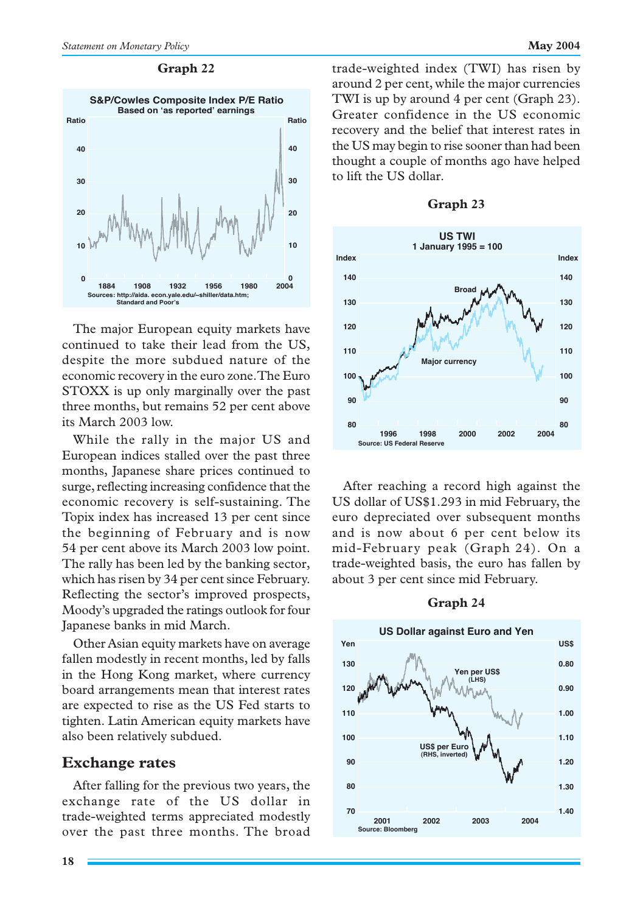

The major European equity markets have continued to take their lead from the US, despite the more subdued nature of the economic recovery in the euro zone. The Euro STOXX is up only marginally over the past three months, but remains 52 per cent above its March 2003 low.

While the rally in the major US and European indices stalled over the past three months, Japanese share prices continued to surge, reflecting increasing confidence that the economic recovery is self-sustaining. The Topix index has increased 13 per cent since the beginning of February and is now 54 per cent above its March 2003 low point. The rally has been led by the banking sector, which has risen by 34 per cent since February. Reflecting the sector's improved prospects, Moody's upgraded the ratings outlook for four Japanese banks in mid March.

Other Asian equity markets have on average fallen modestly in recent months, led by falls in the Hong Kong market, where currency board arrangements mean that interest rates are expected to rise as the US Fed starts to tighten. Latin American equity markets have also been relatively subdued.

# **Exchange rates**

After falling for the previous two years, the exchange rate of the US dollar in trade-weighted terms appreciated modestly over the past three months. The broad

**18**

trade-weighted index (TWI) has risen by around 2 per cent, while the major currencies TWI is up by around 4 per cent (Graph 23). Greater confidence in the US economic recovery and the belief that interest rates in the US may begin to rise sooner than had been thought a couple of months ago have helped to lift the US dollar.



#### **Graph 23**

After reaching a record high against the US dollar of US\$1.293 in mid February, the euro depreciated over subsequent months and is now about 6 per cent below its mid-February peak (Graph 24). On a trade-weighted basis, the euro has fallen by about 3 per cent since mid February.

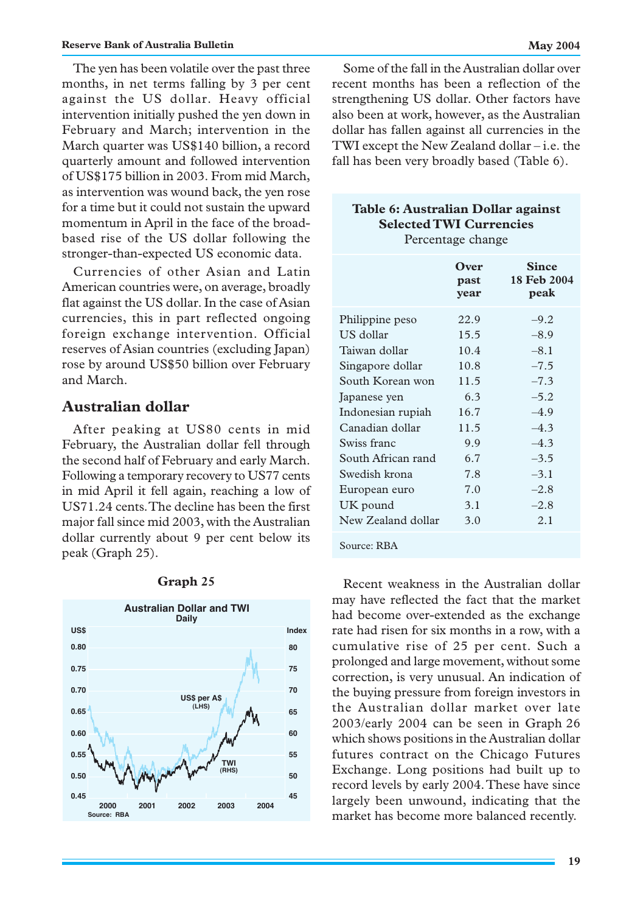The yen has been volatile over the past three months, in net terms falling by 3 per cent against the US dollar. Heavy official intervention initially pushed the yen down in February and March; intervention in the March quarter was US\$140 billion, a record quarterly amount and followed intervention of US\$175 billion in 2003. From mid March, as intervention was wound back, the yen rose for a time but it could not sustain the upward momentum in April in the face of the broadbased rise of the US dollar following the stronger-than-expected US economic data.

Currencies of other Asian and Latin American countries were, on average, broadly flat against the US dollar. In the case of Asian currencies, this in part reflected ongoing foreign exchange intervention. Official reserves of Asian countries (excluding Japan) rose by around US\$50 billion over February and March.

# **Australian dollar**

After peaking at US80 cents in mid February, the Australian dollar fell through the second half of February and early March. Following a temporary recovery to US77 cents in mid April it fell again, reaching a low of US71.24 cents. The decline has been the first major fall since mid 2003, with the Australian dollar currently about 9 per cent below its peak (Graph 25).



#### **Graph 25**

Some of the fall in the Australian dollar over recent months has been a reflection of the strengthening US dollar. Other factors have also been at work, however, as the Australian dollar has fallen against all currencies in the TWI except the New Zealand dollar – i.e. the fall has been very broadly based (Table 6).

| Table 6: Australian Dollar against |
|------------------------------------|
| <b>Selected TWI Currencies</b>     |
| Percentage change                  |

|                    | Over<br>past<br>year | <b>Since</b><br>18 Feb 2004<br>peak |
|--------------------|----------------------|-------------------------------------|
| Philippine peso    | 22.9                 | $-9.2$                              |
| US dollar          | 15.5                 | $-8.9$                              |
| Taiwan dollar      | 10.4                 | $-8.1$                              |
| Singapore dollar   | 10.8                 | $-7.5$                              |
| South Korean won   | 11.5                 | $-7.3$                              |
| Japanese yen       | 6.3                  | $-5.2$                              |
| Indonesian rupiah  | 16.7                 | $-4.9$                              |
| Canadian dollar    | 11.5                 | $-4.3$                              |
| Swiss franc        | 9.9                  | $-4.3$                              |
| South African rand | 6.7                  | $-3.5$                              |
| Swedish krona      | 7.8                  | $-3.1$                              |
| European euro      | 7.0                  | $-2.8$                              |
| UK pound           | 3.1                  | $-2.8$                              |
| New Zealand dollar | 3.0                  | 2.1                                 |
| Source: RBA        |                      |                                     |

Recent weakness in the Australian dollar may have reflected the fact that the market had become over-extended as the exchange rate had risen for six months in a row, with a cumulative rise of 25 per cent. Such a prolonged and large movement, without some correction, is very unusual. An indication of the buying pressure from foreign investors in the Australian dollar market over late 2003/early 2004 can be seen in Graph 26 which shows positions in the Australian dollar futures contract on the Chicago Futures Exchange. Long positions had built up to record levels by early 2004. These have since largely been unwound, indicating that the market has become more balanced recently.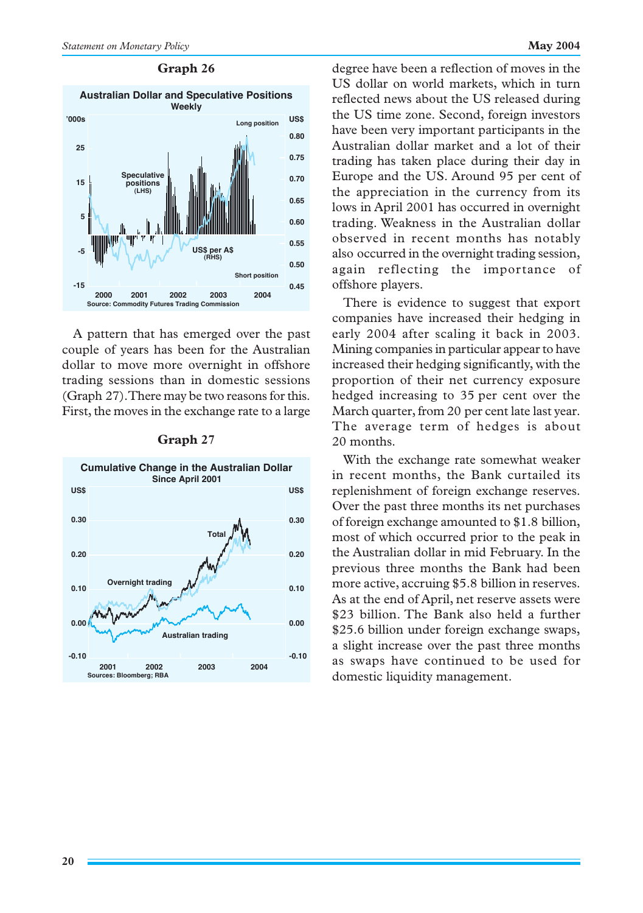

A pattern that has emerged over the past couple of years has been for the Australian dollar to move more overnight in offshore trading sessions than in domestic sessions (Graph 27). There may be two reasons for this. First, the moves in the exchange rate to a large



#### **Graph 27**

degree have been a reflection of moves in the US dollar on world markets, which in turn reflected news about the US released during the US time zone. Second, foreign investors have been very important participants in the Australian dollar market and a lot of their trading has taken place during their day in Europe and the US. Around 95 per cent of the appreciation in the currency from its lows in April 2001 has occurred in overnight trading. Weakness in the Australian dollar observed in recent months has notably also occurred in the overnight trading session, again reflecting the importance of offshore players.

There is evidence to suggest that export companies have increased their hedging in early 2004 after scaling it back in 2003. Mining companies in particular appear to have increased their hedging significantly, with the proportion of their net currency exposure hedged increasing to 35 per cent over the March quarter, from 20 per cent late last year. The average term of hedges is about 20 months.

With the exchange rate somewhat weaker in recent months, the Bank curtailed its replenishment of foreign exchange reserves. Over the past three months its net purchases of foreign exchange amounted to \$1.8 billion, most of which occurred prior to the peak in the Australian dollar in mid February. In the previous three months the Bank had been more active, accruing \$5.8 billion in reserves. As at the end of April, net reserve assets were \$23 billion. The Bank also held a further \$25.6 billion under foreign exchange swaps, a slight increase over the past three months as swaps have continued to be used for domestic liquidity management.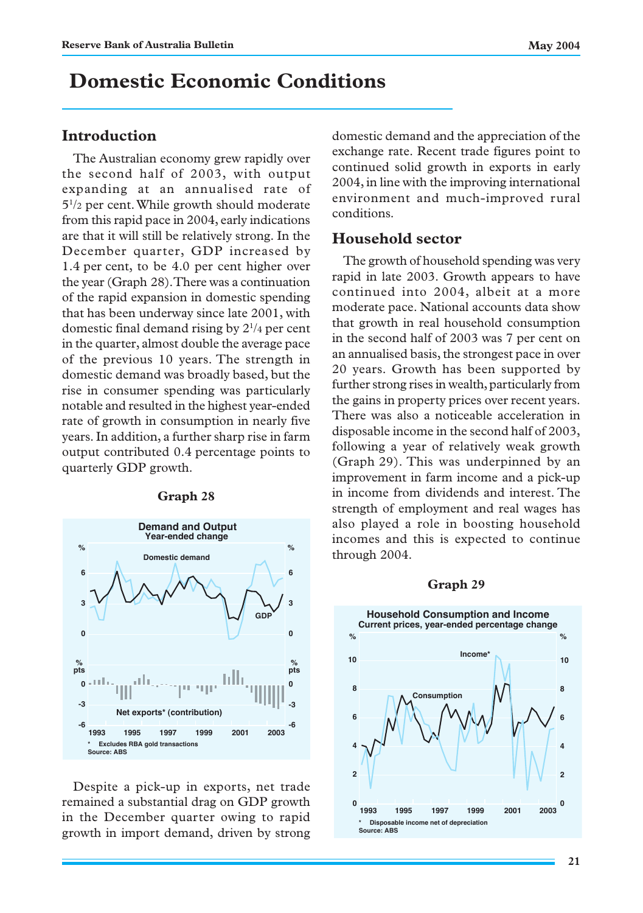# **Domestic Economic Conditions**

# **Introduction**

The Australian economy grew rapidly over the second half of 2003, with output expanding at an annualised rate of 51 /2 per cent. While growth should moderate from this rapid pace in 2004, early indications are that it will still be relatively strong. In the December quarter, GDP increased by 1.4 per cent, to be 4.0 per cent higher over the year (Graph 28). There was a continuation of the rapid expansion in domestic spending that has been underway since late 2001, with domestic final demand rising by 21 /4 per cent in the quarter, almost double the average pace of the previous 10 years. The strength in domestic demand was broadly based, but the rise in consumer spending was particularly notable and resulted in the highest year-ended rate of growth in consumption in nearly five years. In addition, a further sharp rise in farm output contributed 0.4 percentage points to quarterly GDP growth.



**Graph 28**

Despite a pick-up in exports, net trade remained a substantial drag on GDP growth in the December quarter owing to rapid growth in import demand, driven by strong domestic demand and the appreciation of the exchange rate. Recent trade figures point to continued solid growth in exports in early 2004, in line with the improving international environment and much-improved rural conditions.

# **Household sector**

The growth of household spending was very rapid in late 2003. Growth appears to have continued into 2004, albeit at a more moderate pace. National accounts data show that growth in real household consumption in the second half of 2003 was 7 per cent on an annualised basis, the strongest pace in over 20 years. Growth has been supported by further strong rises in wealth, particularly from the gains in property prices over recent years. There was also a noticeable acceleration in disposable income in the second half of 2003, following a year of relatively weak growth (Graph 29). This was underpinned by an improvement in farm income and a pick-up in income from dividends and interest. The strength of employment and real wages has also played a role in boosting household incomes and this is expected to continue through 2004.

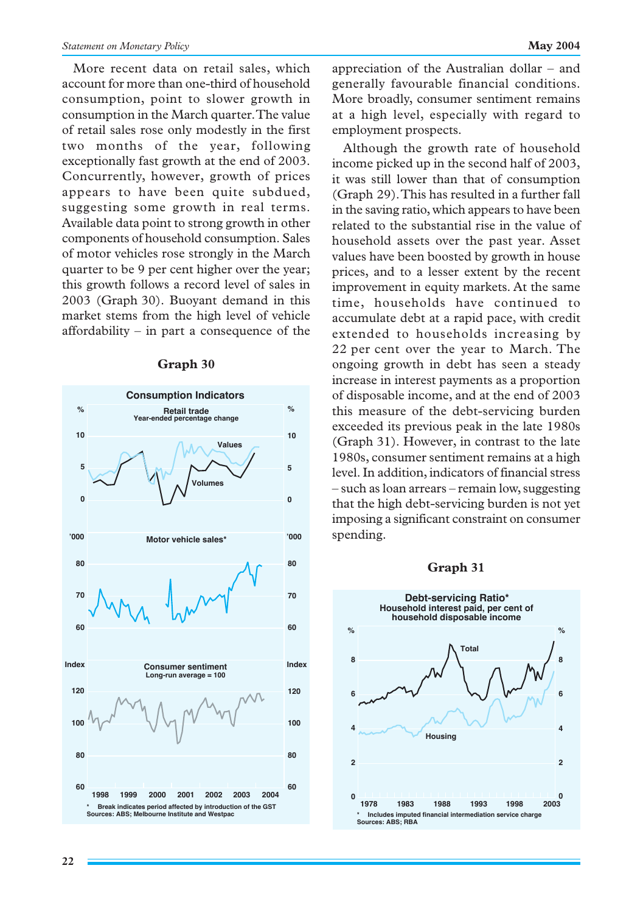More recent data on retail sales, which account for more than one-third of household consumption, point to slower growth in consumption in the March quarter. The value of retail sales rose only modestly in the first two months of the year, following exceptionally fast growth at the end of 2003. Concurrently, however, growth of prices appears to have been quite subdued, suggesting some growth in real terms. Available data point to strong growth in other components of household consumption. Sales of motor vehicles rose strongly in the March quarter to be 9 per cent higher over the year; this growth follows a record level of sales in 2003 (Graph 30). Buoyant demand in this market stems from the high level of vehicle affordability – in part a consequence of the

#### **Graph 30**



appreciation of the Australian dollar – and generally favourable financial conditions. More broadly, consumer sentiment remains at a high level, especially with regard to employment prospects.

Although the growth rate of household income picked up in the second half of 2003, it was still lower than that of consumption (Graph 29). This has resulted in a further fall in the saving ratio, which appears to have been related to the substantial rise in the value of household assets over the past year. Asset values have been boosted by growth in house prices, and to a lesser extent by the recent improvement in equity markets. At the same time, households have continued to accumulate debt at a rapid pace, with credit extended to households increasing by 22 per cent over the year to March. The ongoing growth in debt has seen a steady increase in interest payments as a proportion of disposable income, and at the end of 2003 this measure of the debt-servicing burden exceeded its previous peak in the late 1980s (Graph 31). However, in contrast to the late 1980s, consumer sentiment remains at a high level. In addition, indicators of financial stress – such as loan arrears – remain low, suggesting that the high debt-servicing burden is not yet imposing a significant constraint on consumer spending.

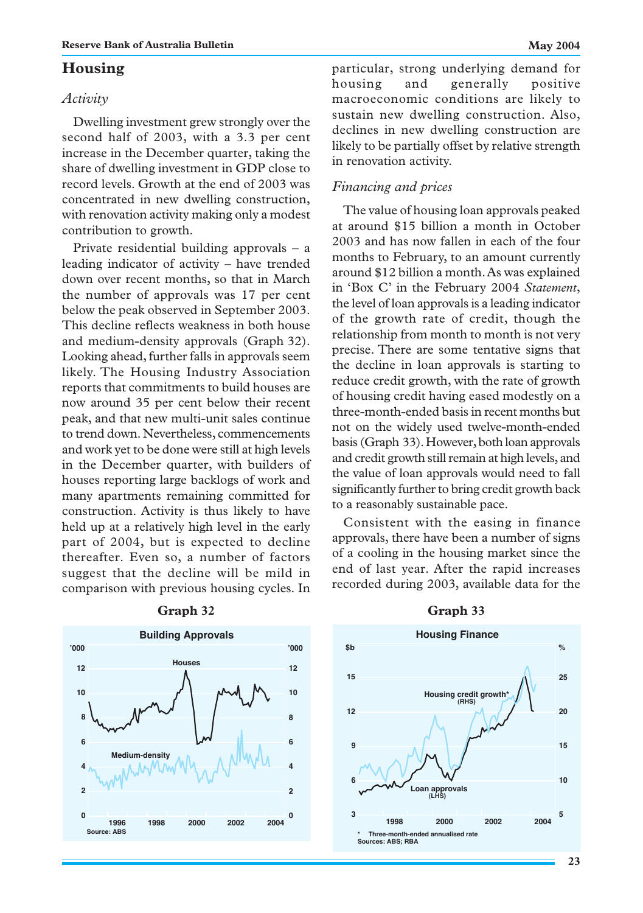# **Housing**

# *Activity*

Dwelling investment grew strongly over the second half of 2003, with a 3.3 per cent increase in the December quarter, taking the share of dwelling investment in GDP close to record levels. Growth at the end of 2003 was concentrated in new dwelling construction, with renovation activity making only a modest contribution to growth.

Private residential building approvals – a leading indicator of activity – have trended down over recent months, so that in March the number of approvals was 17 per cent below the peak observed in September 2003. This decline reflects weakness in both house and medium-density approvals (Graph 32). Looking ahead, further falls in approvals seem likely. The Housing Industry Association reports that commitments to build houses are now around 35 per cent below their recent peak, and that new multi-unit sales continue to trend down. Nevertheless, commencements and work yet to be done were still at high levels in the December quarter, with builders of houses reporting large backlogs of work and many apartments remaining committed for construction. Activity is thus likely to have held up at a relatively high level in the early part of 2004, but is expected to decline thereafter. Even so, a number of factors suggest that the decline will be mild in comparison with previous housing cycles. In



#### Graph 32 Graph 33

particular, strong underlying demand for housing and generally positive macroeconomic conditions are likely to sustain new dwelling construction. Also, declines in new dwelling construction are likely to be partially offset by relative strength in renovation activity.

# *Financing and prices*

The value of housing loan approvals peaked at around \$15 billion a month in October 2003 and has now fallen in each of the four months to February, to an amount currently around \$12 billion a month. As was explained in 'Box C' in the February 2004 *Statement*, the level of loan approvals is a leading indicator of the growth rate of credit, though the relationship from month to month is not very precise. There are some tentative signs that the decline in loan approvals is starting to reduce credit growth, with the rate of growth of housing credit having eased modestly on a three-month-ended basis in recent months but not on the widely used twelve-month-ended basis (Graph 33). However, both loan approvals and credit growth still remain at high levels, and the value of loan approvals would need to fall significantly further to bring credit growth back to a reasonably sustainable pace.

Consistent with the easing in finance approvals, there have been a number of signs of a cooling in the housing market since the end of last year. After the rapid increases recorded during 2003, available data for the

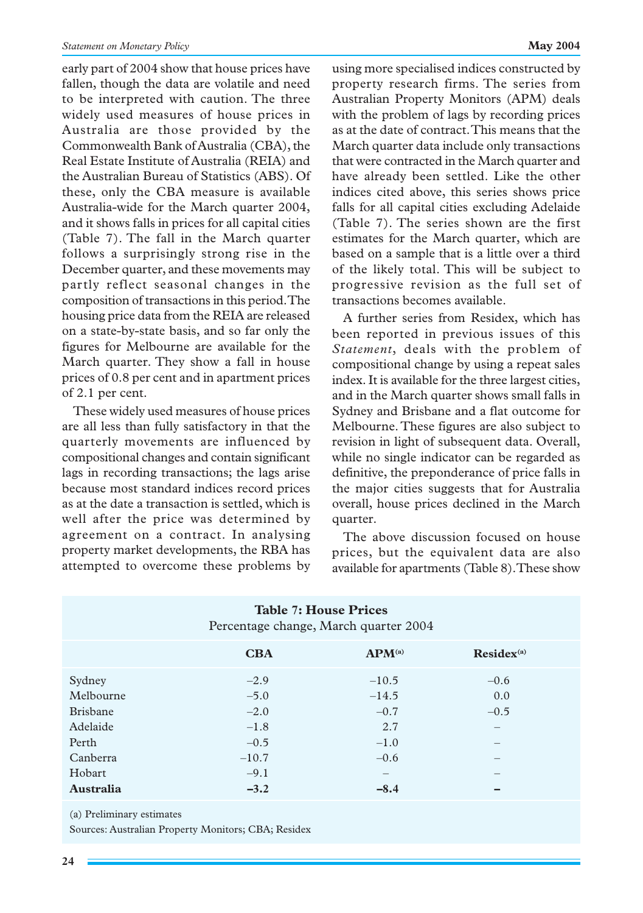early part of 2004 show that house prices have fallen, though the data are volatile and need to be interpreted with caution. The three widely used measures of house prices in Australia are those provided by the Commonwealth Bank of Australia (CBA), the Real Estate Institute of Australia (REIA) and the Australian Bureau of Statistics (ABS). Of these, only the CBA measure is available Australia-wide for the March quarter 2004, and it shows falls in prices for all capital cities (Table 7). The fall in the March quarter follows a surprisingly strong rise in the December quarter, and these movements may partly reflect seasonal changes in the composition of transactions in this period. The housing price data from the REIA are released on a state-by-state basis, and so far only the figures for Melbourne are available for the March quarter. They show a fall in house prices of 0.8 per cent and in apartment prices of 2.1 per cent.

These widely used measures of house prices are all less than fully satisfactory in that the quarterly movements are influenced by compositional changes and contain significant lags in recording transactions; the lags arise because most standard indices record prices as at the date a transaction is settled, which is well after the price was determined by agreement on a contract. In analysing property market developments, the RBA has attempted to overcome these problems by using more specialised indices constructed by property research firms. The series from Australian Property Monitors (APM) deals with the problem of lags by recording prices as at the date of contract. This means that the March quarter data include only transactions that were contracted in the March quarter and have already been settled. Like the other indices cited above, this series shows price falls for all capital cities excluding Adelaide (Table 7). The series shown are the first estimates for the March quarter, which are based on a sample that is a little over a third of the likely total. This will be subject to progressive revision as the full set of transactions becomes available.

A further series from Residex, which has been reported in previous issues of this *Statement*, deals with the problem of compositional change by using a repeat sales index. It is available for the three largest cities, and in the March quarter shows small falls in Sydney and Brisbane and a flat outcome for Melbourne. These figures are also subject to revision in light of subsequent data. Overall, while no single indicator can be regarded as definitive, the preponderance of price falls in the major cities suggests that for Australia overall, house prices declined in the March quarter.

The above discussion focused on house prices, but the equivalent data are also available for apartments (Table 8). These show

| <b>Table 7: House Prices</b><br>Percentage change, March quarter 2004             |                                                                     |                                                                                     |                                                     |
|-----------------------------------------------------------------------------------|---------------------------------------------------------------------|-------------------------------------------------------------------------------------|-----------------------------------------------------|
|                                                                                   | <b>CBA</b>                                                          | $APM^{(a)}$                                                                         | $Residex^{(a)}$                                     |
| Sydney<br>Melbourne<br><b>Brishane</b><br>Adelaide<br>Perth<br>Canberra<br>Hobart | $-2.9$<br>$-5.0$<br>$-2.0$<br>$-1.8$<br>$-0.5$<br>$-10.7$<br>$-9.1$ | $-10.5$<br>$-14.5$<br>$-0.7$<br>2.7<br>$-1.0$<br>$-0.6$<br>$\overline{\phantom{0}}$ | $-0.6$<br>0.0<br>$-0.5$<br>$\overline{\phantom{a}}$ |
| Australia                                                                         | $-3.2$                                                              | $-8.4$                                                                              |                                                     |

(a) Preliminary estimates

Sources: Australian Property Monitors; CBA; Residex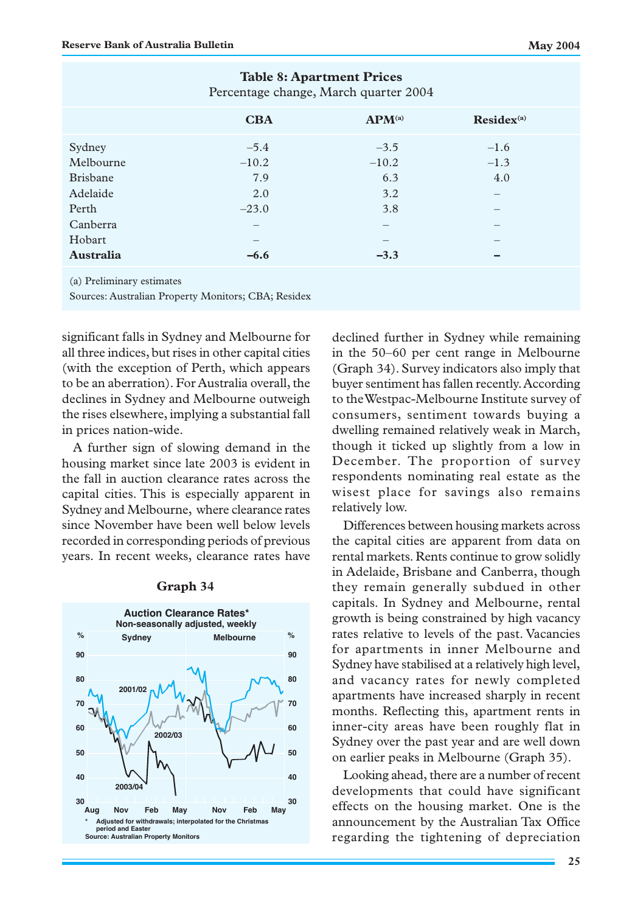| <b>Table 8: Apartment Prices</b><br>Percentage change, March quarter 2004 |                          |                          |                 |  |
|---------------------------------------------------------------------------|--------------------------|--------------------------|-----------------|--|
|                                                                           | <b>CBA</b>               | APM <sup>(a)</sup>       | $Residex^{(a)}$ |  |
| Sydney                                                                    | $-5.4$                   | $-3.5$                   | $-1.6$          |  |
| Melbourne                                                                 | $-10.2$                  | $-10.2$                  | $-1.3$          |  |
| <b>Brisbane</b>                                                           | 7.9                      | 6.3                      | 4.0             |  |
| Adelaide                                                                  | 2.0                      | 3.2                      |                 |  |
| Perth                                                                     | $-23.0$                  | 3.8                      |                 |  |
| Canberra                                                                  |                          | -                        |                 |  |
| Hobart                                                                    | $\overline{\phantom{0}}$ | $\overline{\phantom{0}}$ |                 |  |
| Australia                                                                 | $-6.6$                   | $-3.3$                   | -               |  |
| (a) Preliminary estimates                                                 |                          |                          |                 |  |

Sources: Australian Property Monitors; CBA; Residex

significant falls in Sydney and Melbourne for all three indices, but rises in other capital cities (with the exception of Perth, which appears to be an aberration). For Australia overall, the declines in Sydney and Melbourne outweigh the rises elsewhere, implying a substantial fall in prices nation-wide.

A further sign of slowing demand in the housing market since late 2003 is evident in the fall in auction clearance rates across the capital cities. This is especially apparent in Sydney and Melbourne, where clearance rates since November have been well below levels recorded in corresponding periods of previous years. In recent weeks, clearance rates have



#### **Graph 34**

declined further in Sydney while remaining in the 50–60 per cent range in Melbourne (Graph 34). Survey indicators also imply that buyer sentiment has fallen recently. According to the Westpac-Melbourne Institute survey of consumers, sentiment towards buying a dwelling remained relatively weak in March, though it ticked up slightly from a low in December. The proportion of survey respondents nominating real estate as the wisest place for savings also remains relatively low.

Differences between housing markets across the capital cities are apparent from data on rental markets. Rents continue to grow solidly in Adelaide, Brisbane and Canberra, though they remain generally subdued in other capitals. In Sydney and Melbourne, rental growth is being constrained by high vacancy rates relative to levels of the past. Vacancies for apartments in inner Melbourne and Sydney have stabilised at a relatively high level, and vacancy rates for newly completed apartments have increased sharply in recent months. Reflecting this, apartment rents in inner-city areas have been roughly flat in Sydney over the past year and are well down on earlier peaks in Melbourne (Graph 35).

Looking ahead, there are a number of recent developments that could have significant effects on the housing market. One is the announcement by the Australian Tax Office regarding the tightening of depreciation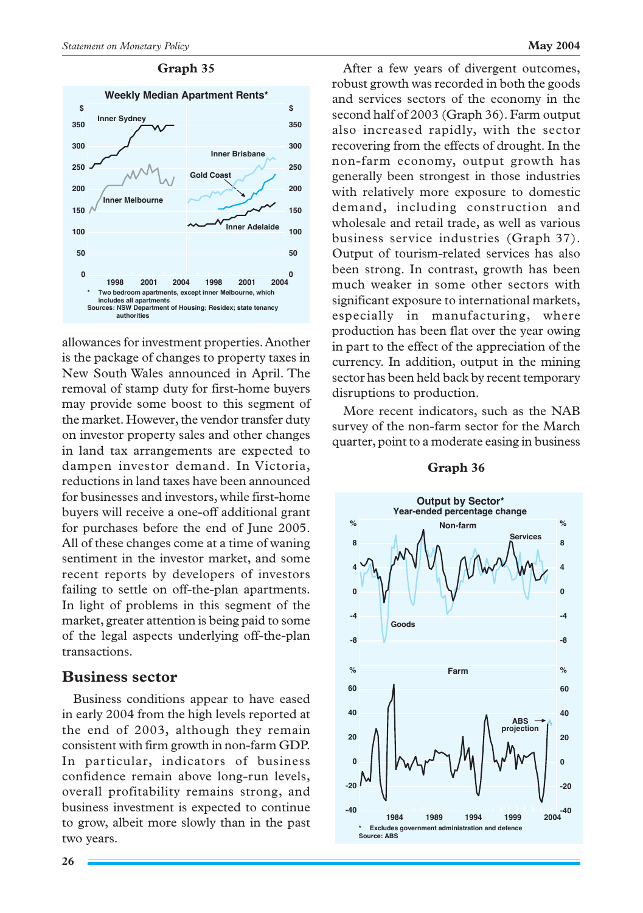

allowances for investment properties. Another is the package of changes to property taxes in New South Wales announced in April. The removal of stamp duty for first-home buyers may provide some boost to this segment of the market. However, the vendor transfer duty on investor property sales and other changes in land tax arrangements are expected to dampen investor demand. In Victoria, reductions in land taxes have been announced for businesses and investors, while first-home buyers will receive a one-off additional grant for purchases before the end of June 2005. All of these changes come at a time of waning sentiment in the investor market, and some recent reports by developers of investors failing to settle on off-the-plan apartments. In light of problems in this segment of the market, greater attention is being paid to some of the legal aspects underlying off-the-plan transactions.

# **Business sector**

Business conditions appear to have eased in early 2004 from the high levels reported at the end of 2003, although they remain consistent with firm growth in non-farm GDP. In particular, indicators of business confidence remain above long-run levels, overall profitability remains strong, and business investment is expected to continue to grow, albeit more slowly than in the past two years.

After a few years of divergent outcomes, robust growth was recorded in both the goods and services sectors of the economy in the second half of 2003 (Graph 36). Farm output also increased rapidly, with the sector recovering from the effects of drought. In the non-farm economy, output growth has generally been strongest in those industries with relatively more exposure to domestic demand, including construction and wholesale and retail trade, as well as various business service industries (Graph 37). Output of tourism-related services has also been strong. In contrast, growth has been much weaker in some other sectors with significant exposure to international markets, especially in manufacturing, where production has been flat over the year owing in part to the effect of the appreciation of the currency. In addition, output in the mining sector has been held back by recent temporary disruptions to production.

More recent indicators, such as the NAB survey of the non-farm sector for the March quarter, point to a moderate easing in business

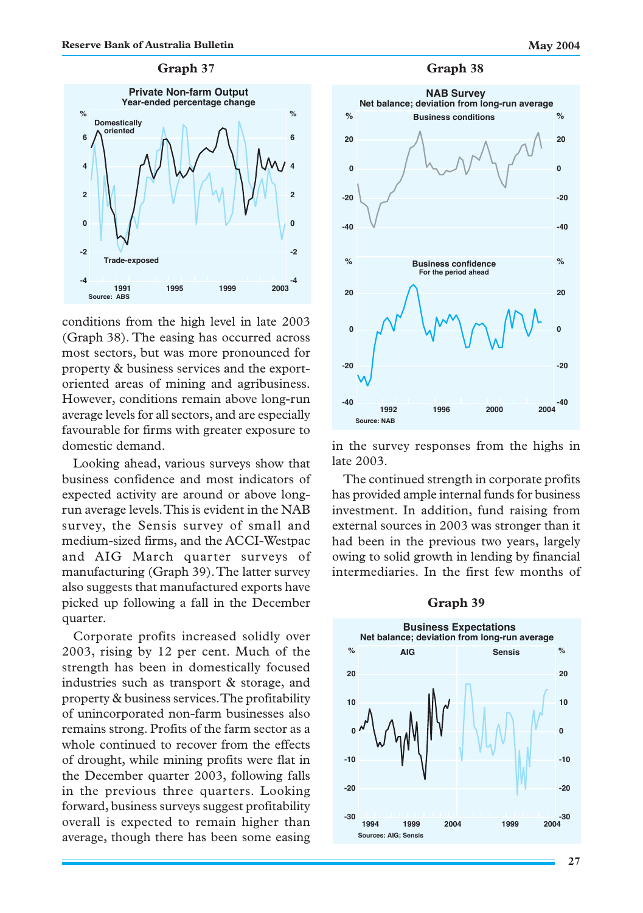#### **Graph 37 Graph 38**



conditions from the high level in late 2003 (Graph 38). The easing has occurred across most sectors, but was more pronounced for property & business services and the exportoriented areas of mining and agribusiness. However, conditions remain above long-run average levels for all sectors, and are especially favourable for firms with greater exposure to domestic demand.

Looking ahead, various surveys show that business confidence and most indicators of expected activity are around or above longrun average levels. This is evident in the NAB survey, the Sensis survey of small and medium-sized firms, and the ACCI-Westpac and AIG March quarter surveys of manufacturing (Graph 39). The latter survey also suggests that manufactured exports have picked up following a fall in the December quarter.

Corporate profits increased solidly over 2003, rising by 12 per cent. Much of the strength has been in domestically focused industries such as transport & storage, and property & business services. The profitability of unincorporated non-farm businesses also remains strong. Profits of the farm sector as a whole continued to recover from the effects of drought, while mining profits were flat in the December quarter 2003, following falls in the previous three quarters. Looking forward, business surveys suggest profitability overall is expected to remain higher than average, though there has been some easing



in the survey responses from the highs in late 2003.

The continued strength in corporate profits has provided ample internal funds for business investment. In addition, fund raising from external sources in 2003 was stronger than it had been in the previous two years, largely owing to solid growth in lending by financial intermediaries. In the first few months of

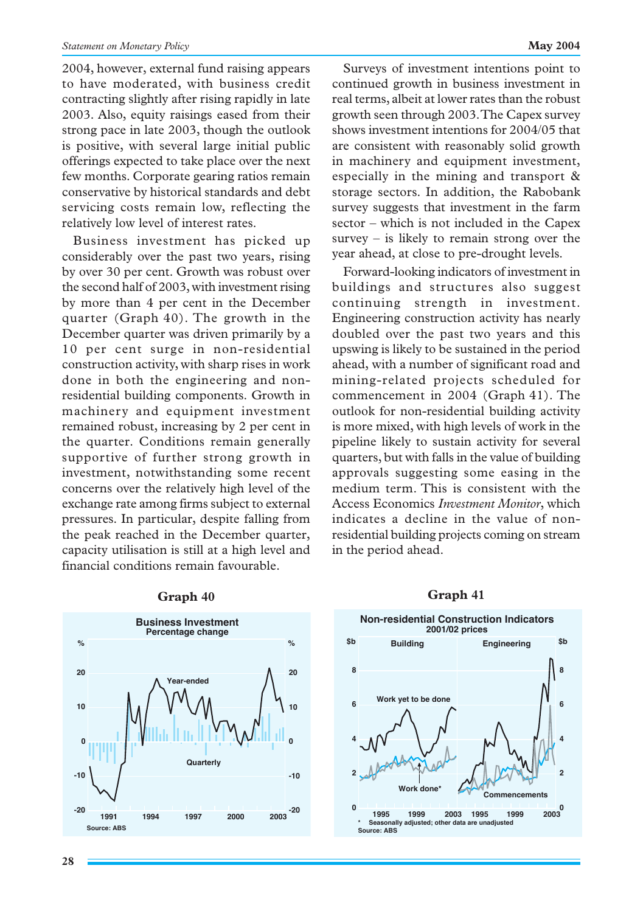2004, however, external fund raising appears to have moderated, with business credit contracting slightly after rising rapidly in late 2003. Also, equity raisings eased from their strong pace in late 2003, though the outlook is positive, with several large initial public offerings expected to take place over the next few months. Corporate gearing ratios remain conservative by historical standards and debt servicing costs remain low, reflecting the relatively low level of interest rates.

Business investment has picked up considerably over the past two years, rising by over 30 per cent. Growth was robust over the second half of 2003, with investment rising by more than 4 per cent in the December quarter (Graph 40). The growth in the December quarter was driven primarily by a 10 per cent surge in non-residential construction activity, with sharp rises in work done in both the engineering and nonresidential building components. Growth in machinery and equipment investment remained robust, increasing by 2 per cent in the quarter. Conditions remain generally supportive of further strong growth in investment, notwithstanding some recent concerns over the relatively high level of the exchange rate among firms subject to external pressures. In particular, despite falling from the peak reached in the December quarter, capacity utilisation is still at a high level and financial conditions remain favourable.

Surveys of investment intentions point to continued growth in business investment in real terms, albeit at lower rates than the robust growth seen through 2003. The Capex survey shows investment intentions for 2004/05 that are consistent with reasonably solid growth in machinery and equipment investment, especially in the mining and transport & storage sectors. In addition, the Rabobank survey suggests that investment in the farm sector – which is not included in the Capex

survey – is likely to remain strong over the year ahead, at close to pre-drought levels.

Forward-looking indicators of investment in buildings and structures also suggest continuing strength in investment. Engineering construction activity has nearly doubled over the past two years and this upswing is likely to be sustained in the period ahead, with a number of significant road and mining-related projects scheduled for commencement in 2004 (Graph 41). The outlook for non-residential building activity is more mixed, with high levels of work in the pipeline likely to sustain activity for several quarters, but with falls in the value of building approvals suggesting some easing in the medium term. This is consistent with the Access Economics *Investment Monitor*, which indicates a decline in the value of nonresidential building projects coming on stream in the period ahead.



# **Graph 40**

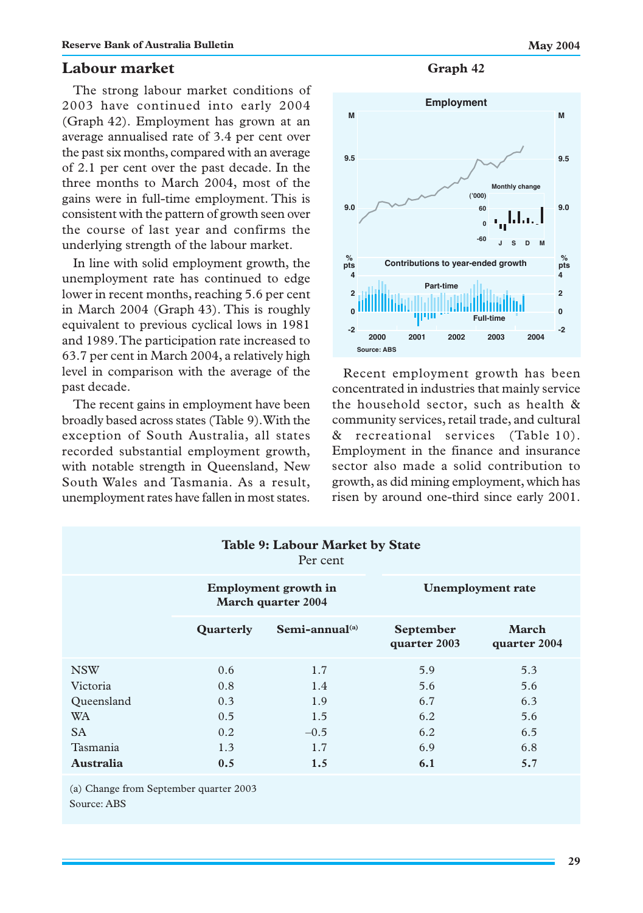# **Labour market**

The strong labour market conditions of 2003 have continued into early 2004 (Graph 42). Employment has grown at an average annualised rate of 3.4 per cent over the past six months, compared with an average of 2.1 per cent over the past decade. In the three months to March 2004, most of the gains were in full-time employment. This is consistent with the pattern of growth seen over the course of last year and confirms the underlying strength of the labour market.

In line with solid employment growth, the unemployment rate has continued to edge lower in recent months, reaching 5.6 per cent in March 2004 (Graph 43). This is roughly equivalent to previous cyclical lows in 1981 and 1989. The participation rate increased to 63.7 per cent in March 2004, a relatively high level in comparison with the average of the past decade.

The recent gains in employment have been broadly based across states (Table 9). With the exception of South Australia, all states recorded substantial employment growth, with notable strength in Queensland, New South Wales and Tasmania. As a result, unemployment rates have fallen in most states.

**Graph 42**





Recent employment growth has been concentrated in industries that mainly service the household sector, such as health & community services, retail trade, and cultural & recreational services (Table 10). Employment in the finance and insurance sector also made a solid contribution to growth, as did mining employment, which has risen by around one-third since early 2001.

| <b>Table 9: Labour Market by State</b><br>Per cent |                                                          |                      |                           |                          |
|----------------------------------------------------|----------------------------------------------------------|----------------------|---------------------------|--------------------------|
|                                                    | <b>Employment growth in</b><br><b>March quarter 2004</b> |                      |                           | <b>Unemployment rate</b> |
|                                                    | Quarterly                                                | Semi-annual $^{(a)}$ | September<br>quarter 2003 | March<br>quarter 2004    |
| <b>NSW</b>                                         | 0.6                                                      | 1.7                  | 5.9                       | 5.3                      |
| Victoria                                           | 0.8                                                      | 1.4                  | 5.6                       | 5.6                      |
| Queensland                                         | 0.3                                                      | 1.9                  | 6.7                       | 6.3                      |
| <b>WA</b>                                          | 0.5                                                      | 1.5                  | 6.2                       | 5.6                      |
| <b>SA</b>                                          | 0.2                                                      | $-0.5$               | 6.2                       | 6.5                      |
| Tasmania                                           | 1.3                                                      | 1.7                  | 6.9                       | 6.8                      |
| Australia                                          | 0.5                                                      | 1.5                  | 6.1                       | 5.7                      |

(a) Change from September quarter 2003 Source: ABS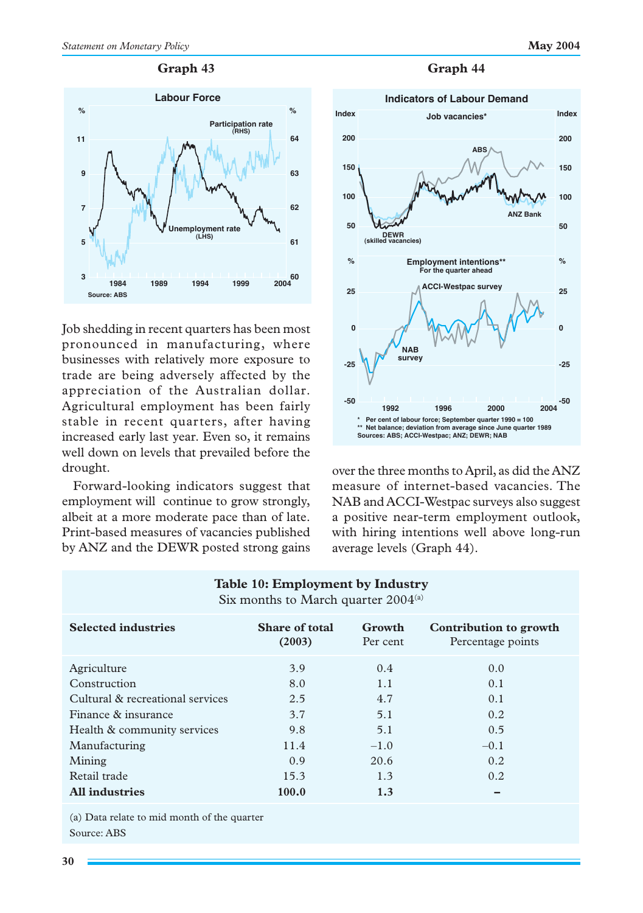

Job shedding in recent quarters has been most pronounced in manufacturing, where businesses with relatively more exposure to trade are being adversely affected by the appreciation of the Australian dollar. Agricultural employment has been fairly stable in recent quarters, after having increased early last year. Even so, it remains well down on levels that prevailed before the drought.

Forward-looking indicators suggest that employment will continue to grow strongly, albeit at a more moderate pace than of late. Print-based measures of vacancies published by ANZ and the DEWR posted strong gains

## **Graph 44**



over the three months to April, as did the ANZ measure of internet-based vacancies. The NAB and ACCI-Westpac surveys also suggest a positive near-term employment outlook, with hiring intentions well above long-run average levels (Graph 44).

| <b>Selected industries</b>       | <b>Share of total</b><br>(2003) | Growth<br>Per cent | Contribution to growth<br>Percentage points |
|----------------------------------|---------------------------------|--------------------|---------------------------------------------|
| Agriculture                      | 3.9                             | 0.4                | 0.0                                         |
| Construction                     | 8.0                             | 1.1                | 0.1                                         |
| Cultural & recreational services | 2.5                             | 4.7                | 0.1                                         |
| Finance & insurance              | 3.7                             | 5.1                | 0.2                                         |
| Health & community services      | 9.8                             | 5.1                | 0.5                                         |
| Manufacturing                    | 11.4                            | $-1.0$             | $-0.1$                                      |
| Mining                           | 0.9                             | 20.6               | 0.2                                         |
| Retail trade                     | 15.3                            | 1.3                | 0.2                                         |
| <b>All industries</b>            | 100.0                           | 1.3                |                                             |

# **Table 10: Employment by Industry**

Six months to March quarter  $2004<sup>(a)</sup>$ 

(a) Data relate to mid month of the quarter Source: ABS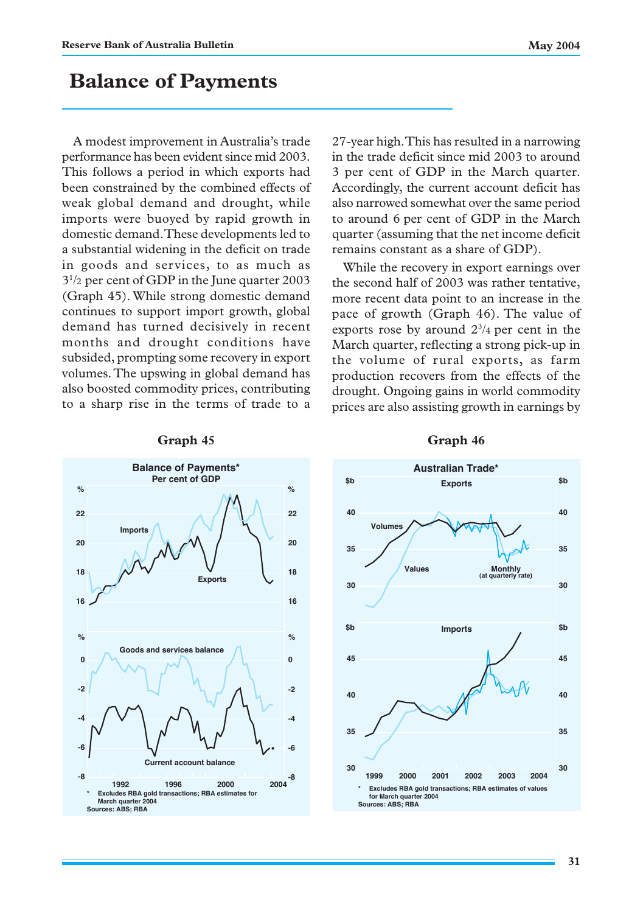# **Balance of Payments**

A modest improvement in Australia's trade performance has been evident since mid 2003. This follows a period in which exports had been constrained by the combined effects of weak global demand and drought, while imports were buoyed by rapid growth in domestic demand. These developments led to a substantial widening in the deficit on trade in goods and services, to as much as 31 /2 per cent of GDP in the June quarter 2003 (Graph 45). While strong domestic demand continues to support import growth, global demand has turned decisively in recent months and drought conditions have subsided, prompting some recovery in export volumes. The upswing in global demand has also boosted commodity prices, contributing to a sharp rise in the terms of trade to a 27-year high. This has resulted in a narrowing in the trade deficit since mid 2003 to around 3 per cent of GDP in the March quarter. Accordingly, the current account deficit has also narrowed somewhat over the same period to around 6 per cent of GDP in the March quarter (assuming that the net income deficit remains constant as a share of GDP).

While the recovery in export earnings over the second half of 2003 was rather tentative, more recent data point to an increase in the pace of growth (Graph 46). The value of exports rose by around  $2\frac{3}{4}$  per cent in the March quarter, reflecting a strong pick-up in the volume of rural exports, as farm production recovers from the effects of the drought. Ongoing gains in world commodity prices are also assisting growth in earnings by



#### **Graph 45 Graph 46**

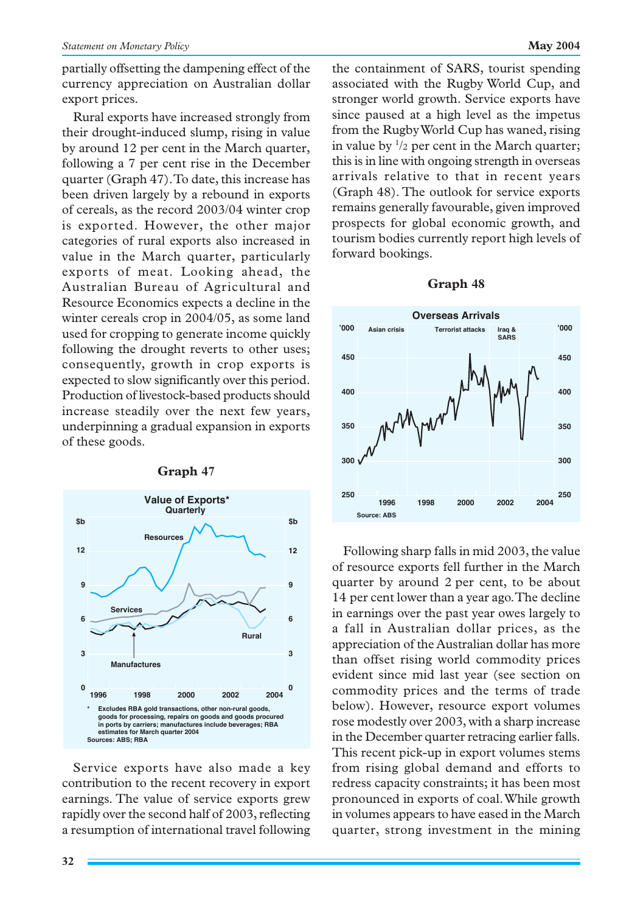partially offsetting the dampening effect of the currency appreciation on Australian dollar export prices.

Rural exports have increased strongly from their drought-induced slump, rising in value by around 12 per cent in the March quarter, following a 7 per cent rise in the December quarter (Graph 47). To date, this increase has been driven largely by a rebound in exports of cereals, as the record 2003/04 winter crop is exported. However, the other major categories of rural exports also increased in value in the March quarter, particularly exports of meat. Looking ahead, the Australian Bureau of Agricultural and Resource Economics expects a decline in the winter cereals crop in 2004/05, as some land used for cropping to generate income quickly following the drought reverts to other uses; consequently, growth in crop exports is expected to slow significantly over this period. Production of livestock-based products should increase steadily over the next few years, underpinning a gradual expansion in exports of these goods.



**Graph 47**

Service exports have also made a key contribution to the recent recovery in export earnings. The value of service exports grew rapidly over the second half of 2003, reflecting a resumption of international travel following the containment of SARS, tourist spending associated with the Rugby World Cup, and stronger world growth. Service exports have since paused at a high level as the impetus from the Rugby World Cup has waned, rising in value by  $\frac{1}{2}$  per cent in the March quarter; this is in line with ongoing strength in overseas arrivals relative to that in recent years (Graph 48). The outlook for service exports remains generally favourable, given improved prospects for global economic growth, and tourism bodies currently report high levels of forward bookings.

## **Graph 48**



Following sharp falls in mid 2003, the value of resource exports fell further in the March quarter by around 2 per cent, to be about 14 per cent lower than a year ago. The decline in earnings over the past year owes largely to a fall in Australian dollar prices, as the appreciation of the Australian dollar has more than offset rising world commodity prices evident since mid last year (see section on commodity prices and the terms of trade below). However, resource export volumes rose modestly over 2003, with a sharp increase in the December quarter retracing earlier falls. This recent pick-up in export volumes stems from rising global demand and efforts to redress capacity constraints; it has been most pronounced in exports of coal. While growth in volumes appears to have eased in the March quarter, strong investment in the mining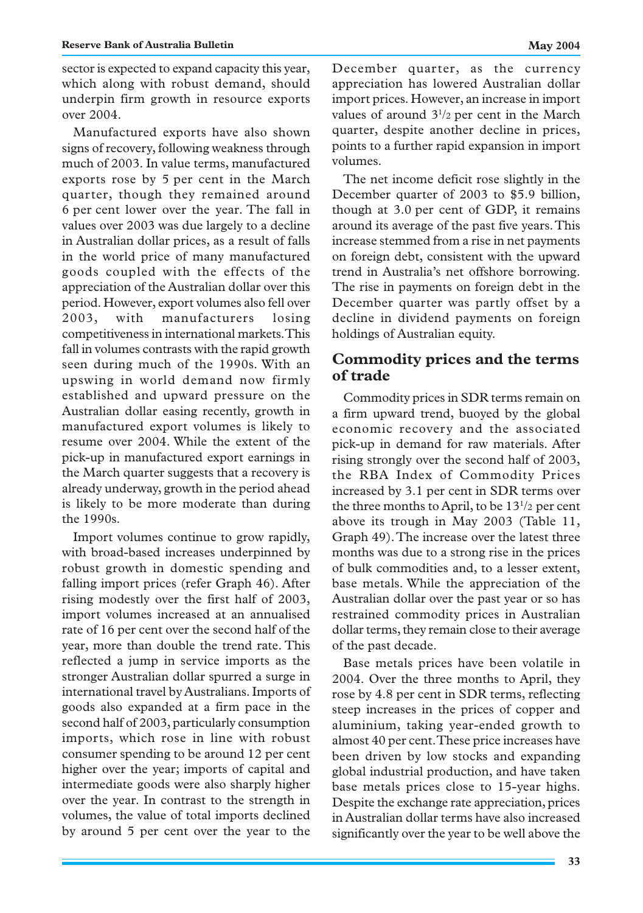sector is expected to expand capacity this year, which along with robust demand, should underpin firm growth in resource exports over 2004.

Manufactured exports have also shown signs of recovery, following weakness through much of 2003. In value terms, manufactured exports rose by 5 per cent in the March quarter, though they remained around 6 per cent lower over the year. The fall in values over 2003 was due largely to a decline in Australian dollar prices, as a result of falls in the world price of many manufactured goods coupled with the effects of the appreciation of the Australian dollar over this period. However, export volumes also fell over 2003, with manufacturers losing competitiveness in international markets. This fall in volumes contrasts with the rapid growth seen during much of the 1990s. With an upswing in world demand now firmly established and upward pressure on the Australian dollar easing recently, growth in manufactured export volumes is likely to resume over 2004. While the extent of the pick-up in manufactured export earnings in the March quarter suggests that a recovery is already underway, growth in the period ahead is likely to be more moderate than during the 1990s.

Import volumes continue to grow rapidly, with broad-based increases underpinned by robust growth in domestic spending and falling import prices (refer Graph 46). After rising modestly over the first half of 2003, import volumes increased at an annualised rate of 16 per cent over the second half of the year, more than double the trend rate. This reflected a jump in service imports as the stronger Australian dollar spurred a surge in international travel by Australians. Imports of goods also expanded at a firm pace in the second half of 2003, particularly consumption imports, which rose in line with robust consumer spending to be around 12 per cent higher over the year; imports of capital and intermediate goods were also sharply higher over the year. In contrast to the strength in volumes, the value of total imports declined by around 5 per cent over the year to the

December quarter, as the currency appreciation has lowered Australian dollar import prices. However, an increase in import values of around  $3^{1/2}$  per cent in the March quarter, despite another decline in prices, points to a further rapid expansion in import volumes.

The net income deficit rose slightly in the December quarter of 2003 to \$5.9 billion, though at 3.0 per cent of GDP, it remains around its average of the past five years. This increase stemmed from a rise in net payments on foreign debt, consistent with the upward trend in Australia's net offshore borrowing. The rise in payments on foreign debt in the December quarter was partly offset by a decline in dividend payments on foreign holdings of Australian equity.

# **Commodity prices and the terms of trade**

Commodity prices in SDR terms remain on a firm upward trend, buoyed by the global economic recovery and the associated pick-up in demand for raw materials. After rising strongly over the second half of 2003, the RBA Index of Commodity Prices increased by 3.1 per cent in SDR terms over the three months to April, to be 13<sup>1</sup>/2 per cent above its trough in May 2003 (Table 11, Graph 49). The increase over the latest three months was due to a strong rise in the prices of bulk commodities and, to a lesser extent, base metals. While the appreciation of the Australian dollar over the past year or so has restrained commodity prices in Australian dollar terms, they remain close to their average of the past decade.

Base metals prices have been volatile in 2004. Over the three months to April, they rose by 4.8 per cent in SDR terms, reflecting steep increases in the prices of copper and aluminium, taking year-ended growth to almost 40 per cent. These price increases have been driven by low stocks and expanding global industrial production, and have taken base metals prices close to 15-year highs. Despite the exchange rate appreciation, prices in Australian dollar terms have also increased significantly over the year to be well above the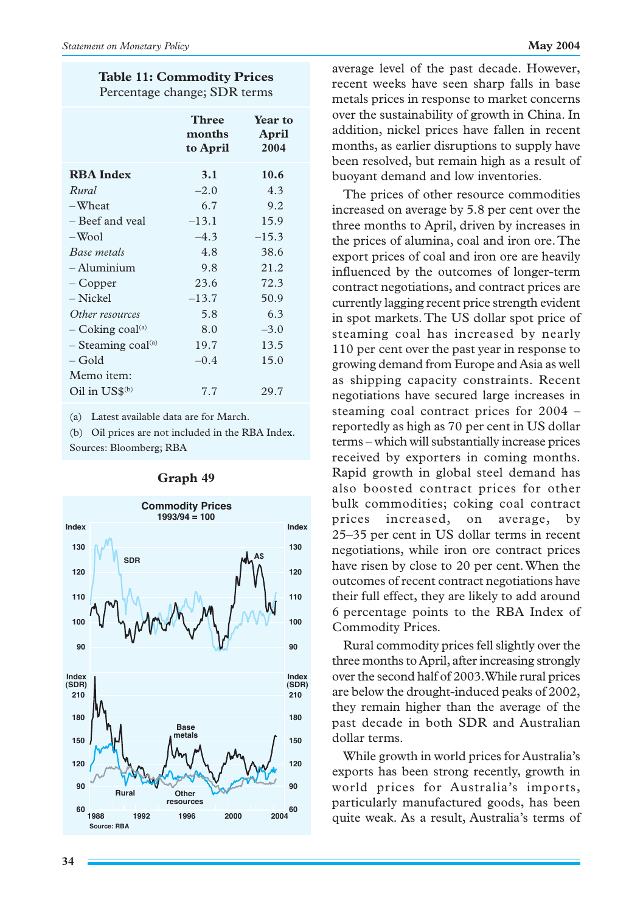# **Table 11: Commodity Prices** Percentage change; SDR terms

|                                  | <b>Three</b><br>months<br>to April | Year to<br>April<br>2004 |
|----------------------------------|------------------------------------|--------------------------|
| <b>RBA</b> Index                 | 3.1                                | 10.6                     |
| <i>Rural</i>                     | $-2.0$                             | 4.3                      |
| -Wheat                           | 6.7                                | 9.2                      |
| – Beef and yeal                  | $-13.1$                            | 15.9                     |
| $-Wool$                          | $-4.3$                             | $-15.3$                  |
| Base metals                      | 4.8                                | 38.6                     |
| $-$ Aluminium                    | 9.8                                | 21.2                     |
| – Copper                         | 23.6                               | 72.3                     |
| - Nickel                         | $-13.7$                            | 50.9                     |
| Other resources                  | 5.8                                | 6.3                      |
| $-$ Coking coal <sup>(a)</sup>   | 8.0                                | $-3.0$                   |
| $-$ Steaming coal <sup>(a)</sup> | 19.7                               | 13.5                     |
| – Gold                           | $-0.4$                             | 15.0                     |
| Memo item:                       |                                    |                          |
| Oil in $\mathrm{USS}^{(b)}$      | 7.7                                | 29.7                     |

(a) Latest available data are for March.

(b) Oil prices are not included in the RBA Index. Sources: Bloomberg; RBA



# **Graph 49**

average level of the past decade. However, recent weeks have seen sharp falls in base metals prices in response to market concerns over the sustainability of growth in China. In addition, nickel prices have fallen in recent months, as earlier disruptions to supply have been resolved, but remain high as a result of buoyant demand and low inventories.

The prices of other resource commodities increased on average by 5.8 per cent over the three months to April, driven by increases in the prices of alumina, coal and iron ore. The export prices of coal and iron ore are heavily influenced by the outcomes of longer-term contract negotiations, and contract prices are currently lagging recent price strength evident in spot markets. The US dollar spot price of steaming coal has increased by nearly 110 per cent over the past year in response to growing demand from Europe and Asia as well as shipping capacity constraints. Recent negotiations have secured large increases in steaming coal contract prices for 2004 – reportedly as high as 70 per cent in US dollar terms – which will substantially increase prices received by exporters in coming months. Rapid growth in global steel demand has also boosted contract prices for other bulk commodities; coking coal contract prices increased, on average, by 25–35 per cent in US dollar terms in recent negotiations, while iron ore contract prices have risen by close to 20 per cent. When the outcomes of recent contract negotiations have their full effect, they are likely to add around 6 percentage points to the RBA Index of Commodity Prices.

Rural commodity prices fell slightly over the three months to April, after increasing strongly over the second half of 2003. While rural prices are below the drought-induced peaks of 2002, they remain higher than the average of the past decade in both SDR and Australian dollar terms.

While growth in world prices for Australia's exports has been strong recently, growth in world prices for Australia's imports, particularly manufactured goods, has been quite weak. As a result, Australia's terms of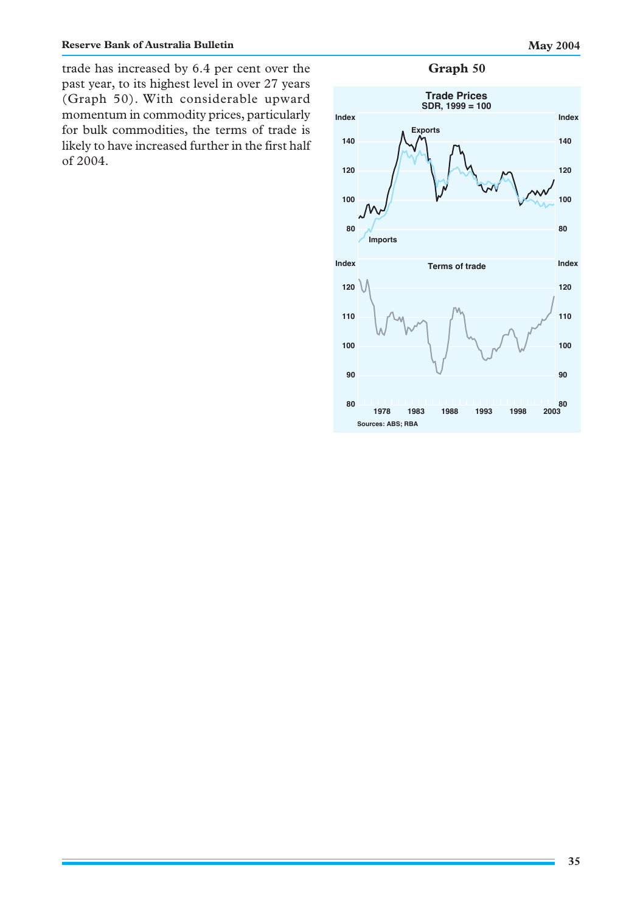trade has increased by 6.4 per cent over the past year, to its highest level in over 27 years (Graph 50). With considerable upward momentum in commodity prices, particularly for bulk commodities, the terms of trade is likely to have increased further in the first half of 2004.

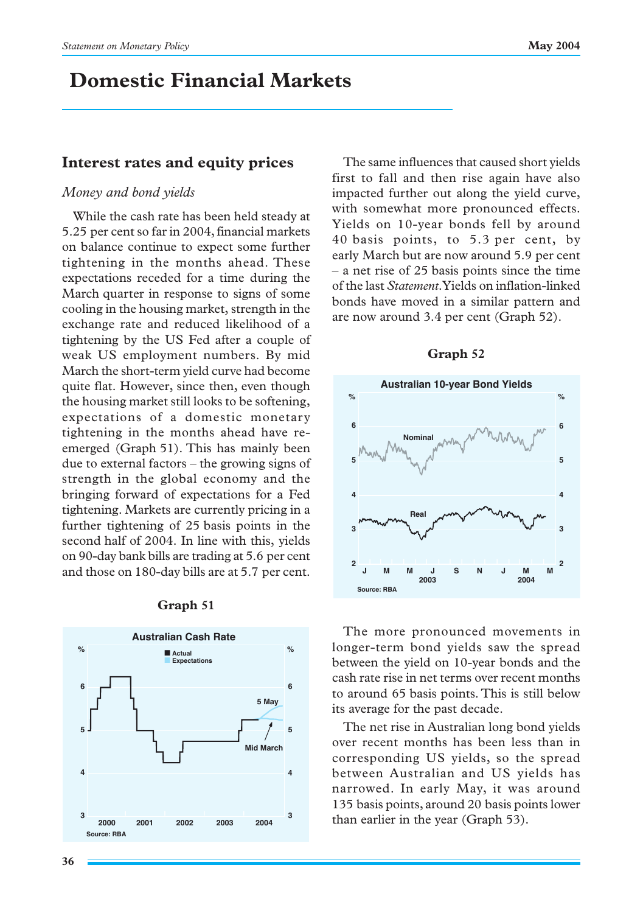# **Domestic Financial Markets**

# **Interest rates and equity prices**

# *Money and bond yields*

While the cash rate has been held steady at 5.25 per cent so far in 2004, financial markets on balance continue to expect some further tightening in the months ahead. These expectations receded for a time during the March quarter in response to signs of some cooling in the housing market, strength in the exchange rate and reduced likelihood of a tightening by the US Fed after a couple of weak US employment numbers. By mid March the short-term yield curve had become quite flat. However, since then, even though the housing market still looks to be softening, expectations of a domestic monetary tightening in the months ahead have reemerged (Graph 51). This has mainly been due to external factors – the growing signs of strength in the global economy and the bringing forward of expectations for a Fed tightening. Markets are currently pricing in a further tightening of 25 basis points in the second half of 2004. In line with this, yields on 90-day bank bills are trading at 5.6 per cent and those on 180-day bills are at 5.7 per cent.



#### **Graph 51**

The same influences that caused short yields first to fall and then rise again have also impacted further out along the yield curve, with somewhat more pronounced effects. Yields on 10-year bonds fell by around 40 basis points, to 5.3 per cent, by early March but are now around 5.9 per cent – a net rise of 25 basis points since the time of the last *Statement*. Yields on inflation-linked bonds have moved in a similar pattern and are now around 3.4 per cent (Graph 52).



#### **Graph 52**

The more pronounced movements in longer-term bond yields saw the spread between the yield on 10-year bonds and the cash rate rise in net terms over recent months to around 65 basis points. This is still below its average for the past decade.

The net rise in Australian long bond yields over recent months has been less than in corresponding US yields, so the spread between Australian and US yields has narrowed. In early May, it was around 135 basis points, around 20 basis points lower than earlier in the year (Graph 53).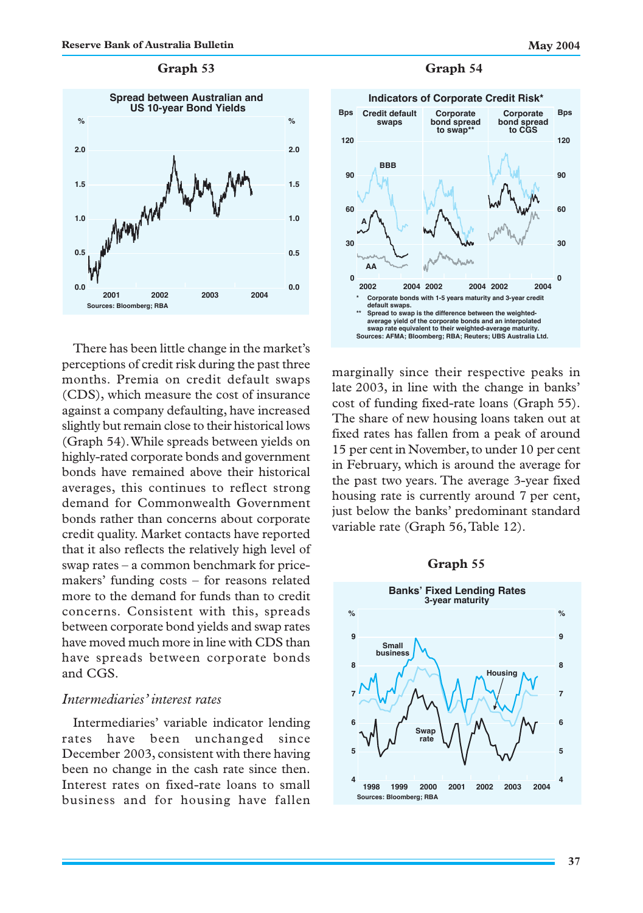

There has been little change in the market's perceptions of credit risk during the past three months. Premia on credit default swaps (CDS), which measure the cost of insurance against a company defaulting, have increased slightly but remain close to their historical lows (Graph 54). While spreads between yields on highly-rated corporate bonds and government bonds have remained above their historical averages, this continues to reflect strong demand for Commonwealth Government bonds rather than concerns about corporate credit quality. Market contacts have reported that it also reflects the relatively high level of swap rates – a common benchmark for pricemakers' funding costs – for reasons related more to the demand for funds than to credit concerns. Consistent with this, spreads between corporate bond yields and swap rates have moved much more in line with CDS than have spreads between corporate bonds and CGS.

# *Intermediaries' interest rates*

Intermediaries' variable indicator lending rates have been unchanged since December 2003, consistent with there having been no change in the cash rate since then. Interest rates on fixed-rate loans to small business and for housing have fallen

## **Graph 54**



marginally since their respective peaks in late 2003, in line with the change in banks' cost of funding fixed-rate loans (Graph 55). The share of new housing loans taken out at fixed rates has fallen from a peak of around 15 per cent in November, to under 10 per cent in February, which is around the average for the past two years. The average 3-year fixed housing rate is currently around 7 per cent, just below the banks' predominant standard variable rate (Graph 56, Table 12).

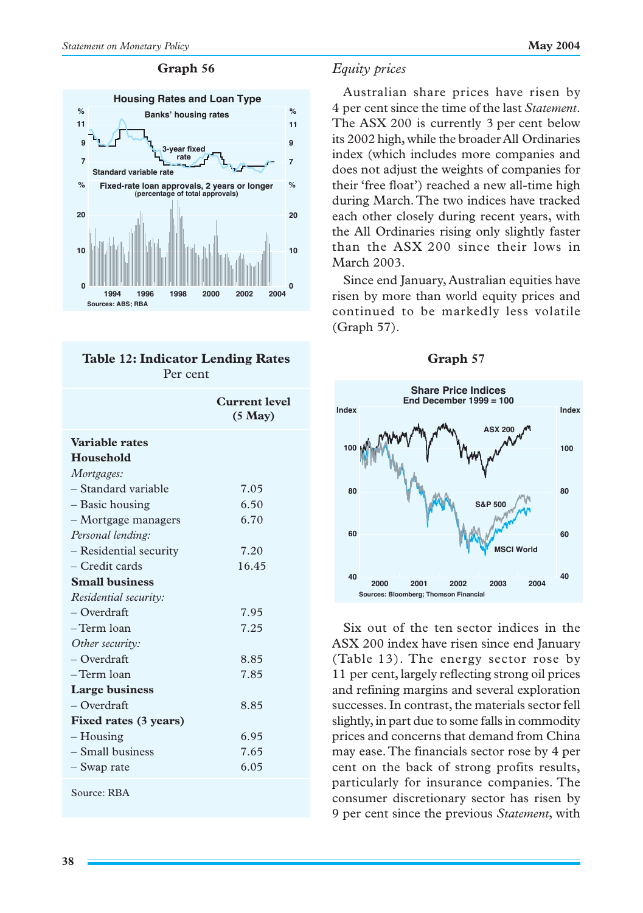

|  | Table 12: Indicator Lending Rates |  |
|--|-----------------------------------|--|
|  | Per cent                          |  |

|                        | <b>Current level</b><br>$(5$ May $)$ |
|------------------------|--------------------------------------|
| Variable rates         |                                      |
| <b>Household</b>       |                                      |
| Mortgages:             |                                      |
| – Standard variable    | 7.05                                 |
| - Basic housing        | 6.50                                 |
| $-$ Mortgage managers  | 6.70                                 |
| Personal lending:      |                                      |
| - Residential security | 7.20                                 |
| - Credit cards         | 16.45                                |
| <b>Small business</b>  |                                      |
| Residential security:  |                                      |
| – Overdraft            | 7.95                                 |
| -Term loan             | 7.25                                 |
| Other security:        |                                      |
| – Overdraft            | 8.85                                 |
| -Term loan             | 7.85                                 |
| <b>Large business</b>  |                                      |
| $-$ Overdraft          | 8.85                                 |
| Fixed rates (3 years)  |                                      |
| $-$ Housing            | 6.95                                 |
| $-$ Small business     | 7.65                                 |
| - Swap rate            | 6.05                                 |
| Source: RBA            |                                      |

# *Equity prices*

Australian share prices have risen by 4 per cent since the time of the last *Statement*. The ASX 200 is currently 3 per cent below its 2002 high, while the broader All Ordinaries index (which includes more companies and does not adjust the weights of companies for their 'free float') reached a new all-time high during March. The two indices have tracked each other closely during recent years, with the All Ordinaries rising only slightly faster than the ASX 200 since their lows in March 2003.

Since end January, Australian equities have risen by more than world equity prices and continued to be markedly less volatile (Graph 57).



Six out of the ten sector indices in the ASX 200 index have risen since end January (Table 13). The energy sector rose by 11 per cent, largely reflecting strong oil prices and refining margins and several exploration successes. In contrast, the materials sector fell slightly, in part due to some falls in commodity prices and concerns that demand from China may ease. The financials sector rose by 4 per cent on the back of strong profits results, particularly for insurance companies. The consumer discretionary sector has risen by 9 per cent since the previous *Statement*, with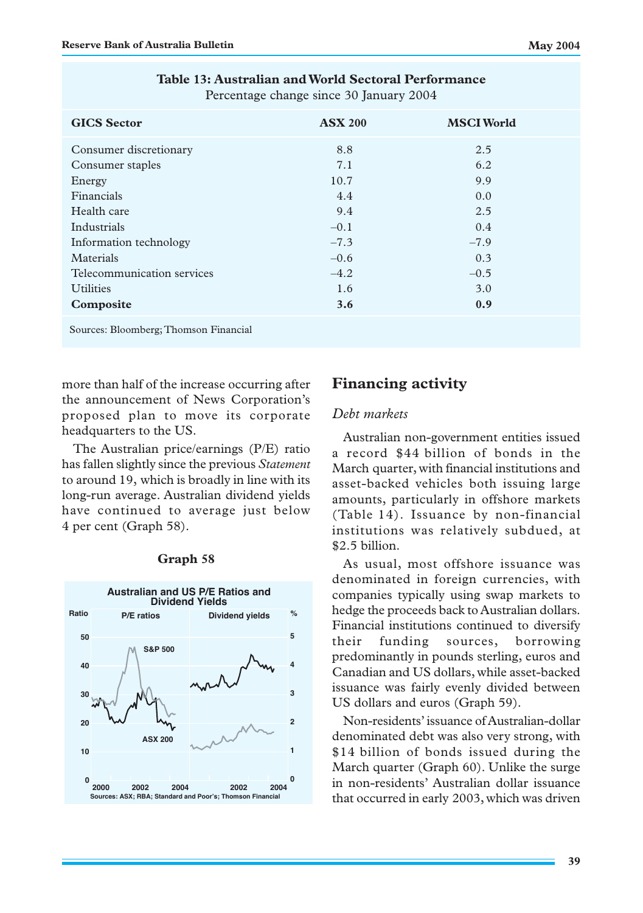| <b>GICS</b> Sector                    | <b>ASX 200</b> | <b>MSCI World</b> |
|---------------------------------------|----------------|-------------------|
| Consumer discretionary                | 8.8            | 2.5               |
| Consumer staples                      | 7.1            | 6.2               |
| Energy                                | 10.7           | 9.9               |
| Financials                            | 4.4            | 0.0               |
| Health care                           | 9.4            | 2.5               |
| Industrials                           | $-0.1$         | 0.4               |
| Information technology                | $-7.3$         | $-7.9$            |
| Materials                             | $-0.6$         | 0.3               |
| Telecommunication services            | $-4.2$         | $-0.5$            |
| <b>Utilities</b>                      | 1.6            | 3.0               |
| Composite                             | 3.6            | 0.9               |
| Sources: Bloomberg; Thomson Financial |                |                   |

# **Table 13: Australian and World Sectoral Performance**

Percentage change since 30 January 2004

more than half of the increase occurring after the announcement of News Corporation's proposed plan to move its corporate

headquarters to the US.

The Australian price/earnings (P/E) ratio has fallen slightly since the previous *Statement* to around 19, which is broadly in line with its long-run average. Australian dividend yields have continued to average just below 4 per cent (Graph 58).



# **Graph 58**

# **Financing activity**

# *Debt markets*

Australian non-government entities issued a record \$44 billion of bonds in the March quarter, with financial institutions and asset-backed vehicles both issuing large amounts, particularly in offshore markets (Table 14). Issuance by non-financial institutions was relatively subdued, at \$2.5 billion.

As usual, most offshore issuance was denominated in foreign currencies, with companies typically using swap markets to hedge the proceeds back to Australian dollars. Financial institutions continued to diversify their funding sources, borrowing predominantly in pounds sterling, euros and Canadian and US dollars, while asset-backed issuance was fairly evenly divided between US dollars and euros (Graph 59).

Non-residents' issuance of Australian-dollar denominated debt was also very strong, with \$14 billion of bonds issued during the March quarter (Graph 60). Unlike the surge in non-residents' Australian dollar issuance that occurred in early 2003, which was driven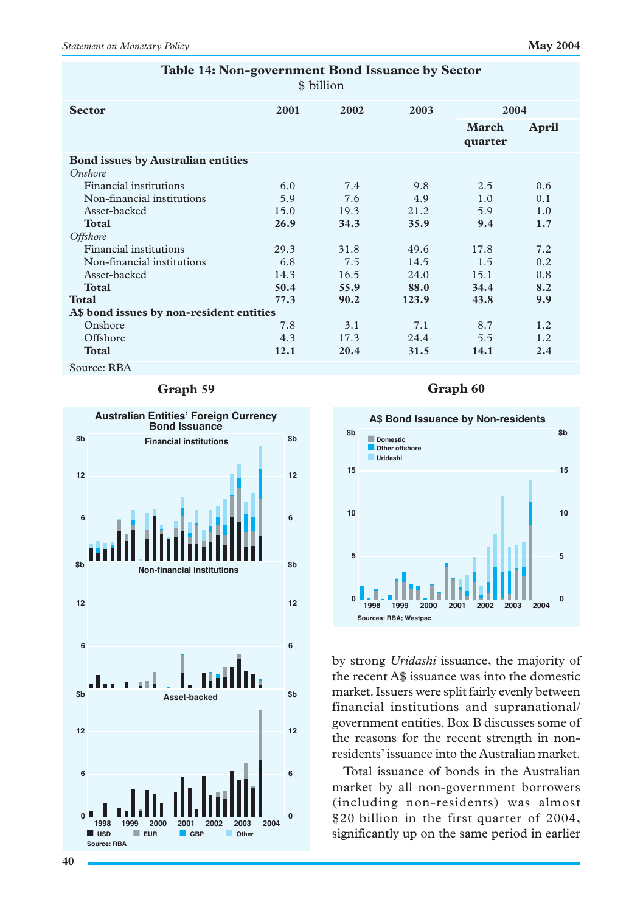| Table 14: Non-government Bond Issuance by Sector |  |
|--------------------------------------------------|--|
| \$ billion                                       |  |

| <b>Sector</b>                             | 2001 | 2002 | 2003  | 2004                    |       |
|-------------------------------------------|------|------|-------|-------------------------|-------|
|                                           |      |      |       | <b>March</b><br>quarter | April |
| <b>Bond issues by Australian entities</b> |      |      |       |                         |       |
| Onshore                                   |      |      |       |                         |       |
| Financial institutions                    | 6.0  | 7.4  | 9.8   | 2.5                     | 0.6   |
| Non-financial institutions                | 5.9  | 7.6  | 4.9   | 1.0                     | 0.1   |
| Asset-backed                              | 15.0 | 19.3 | 21.2  | 5.9                     | 1.0   |
| <b>Total</b>                              | 26.9 | 34.3 | 35.9  | 9.4                     | 1.7   |
| <i>Offshore</i>                           |      |      |       |                         |       |
| Financial institutions                    | 29.3 | 31.8 | 49.6  | 17.8                    | 7.2   |
| Non-financial institutions                | 6.8  | 7.5  | 14.5  | 1.5                     | 0.2   |
| Asset-backed                              | 14.3 | 16.5 | 24.0  | 15.1                    | 0.8   |
| <b>Total</b>                              | 50.4 | 55.9 | 88.0  | 34.4                    | 8.2   |
| <b>Total</b>                              | 77.3 | 90.2 | 123.9 | 43.8                    | 9.9   |
| A\$ bond issues by non-resident entities  |      |      |       |                         |       |
| Onshore                                   | 7.8  | 3.1  | 7.1   | 8.7                     | 1.2   |
| Offshore                                  | 4.3  | 17.3 | 24.4  | 5.5                     | 1.2   |
| <b>Total</b>                              | 12.1 | 20.4 | 31.5  | 14.1                    | 2.4   |
| Source: RBA                               |      |      |       |                         |       |



# **Graph 60**



by strong *Uridashi* issuance, the majority of the recent A\$ issuance was into the domestic market. Issuers were split fairly evenly between financial institutions and supranational/ government entities. Box B discusses some of the reasons for the recent strength in nonresidents' issuance into the Australian market.

Total issuance of bonds in the Australian market by all non-government borrowers (including non-residents) was almost \$20 billion in the first quarter of 2004, significantly up on the same period in earlier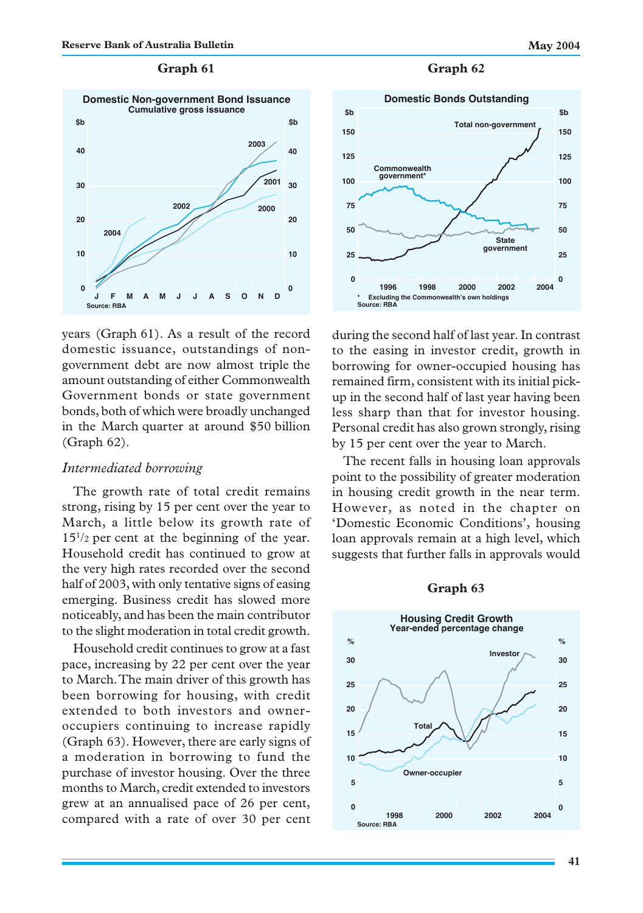

years (Graph 61). As a result of the record domestic issuance, outstandings of nongovernment debt are now almost triple the amount outstanding of either Commonwealth Government bonds or state government bonds, both of which were broadly unchanged in the March quarter at around \$50 billion (Graph 62).

# *Intermediated borrowing*

The growth rate of total credit remains strong, rising by 15 per cent over the year to March, a little below its growth rate of 151 /2 per cent at the beginning of the year. Household credit has continued to grow at the very high rates recorded over the second half of 2003, with only tentative signs of easing emerging. Business credit has slowed more noticeably, and has been the main contributor to the slight moderation in total credit growth.

Household credit continues to grow at a fast pace, increasing by 22 per cent over the year to March. The main driver of this growth has been borrowing for housing, with credit extended to both investors and owneroccupiers continuing to increase rapidly (Graph 63). However, there are early signs of a moderation in borrowing to fund the purchase of investor housing. Over the three months to March, credit extended to investors grew at an annualised pace of 26 per cent, compared with a rate of over 30 per cent

#### **Graph 62**



during the second half of last year. In contrast to the easing in investor credit, growth in borrowing for owner-occupied housing has remained firm, consistent with its initial pickup in the second half of last year having been less sharp than that for investor housing. Personal credit has also grown strongly, rising by 15 per cent over the year to March.

The recent falls in housing loan approvals point to the possibility of greater moderation in housing credit growth in the near term. However, as noted in the chapter on 'Domestic Economic Conditions', housing loan approvals remain at a high level, which suggests that further falls in approvals would

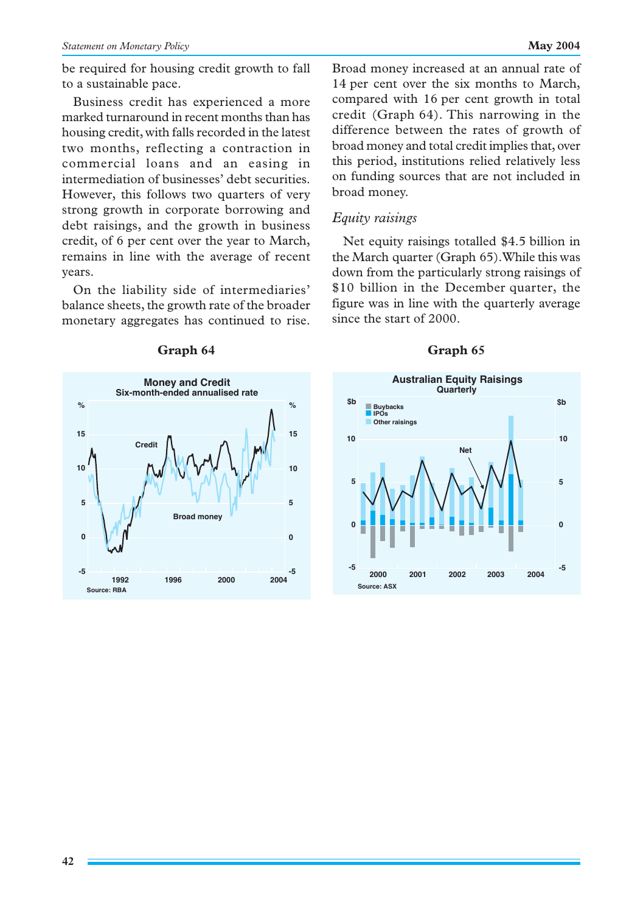be required for housing credit growth to fall to a sustainable pace.

Business credit has experienced a more marked turnaround in recent months than has housing credit, with falls recorded in the latest two months, reflecting a contraction in commercial loans and an easing in intermediation of businesses' debt securities. However, this follows two quarters of very strong growth in corporate borrowing and debt raisings, and the growth in business credit, of 6 per cent over the year to March, remains in line with the average of recent years.

On the liability side of intermediaries' balance sheets, the growth rate of the broader monetary aggregates has continued to rise. Broad money increased at an annual rate of 14 per cent over the six months to March, compared with 16 per cent growth in total credit (Graph 64). This narrowing in the difference between the rates of growth of broad money and total credit implies that, over this period, institutions relied relatively less on funding sources that are not included in broad money.

# *Equity raisings*

Net equity raisings totalled \$4.5 billion in the March quarter (Graph 65). While this was down from the particularly strong raisings of \$10 billion in the December quarter, the figure was in line with the quarterly average since the start of 2000.

**Graph 65**



#### **Graph 64**

**-5 0 5 10 -5 0 5 10 Australian Equity Raisings \$b Net \$b 2001 Source: ASX 2003 Quarterly 2000 2004 2002** ■ **Buybacks** ■ **IPOs** ■ **Other raisings**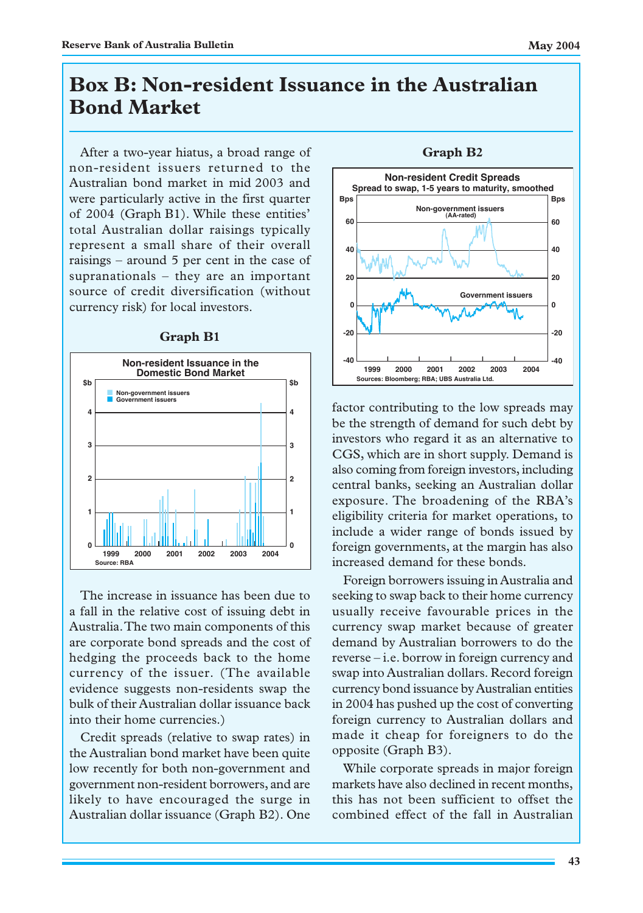# **Box B: Non-resident Issuance in the Australian Bond Market**

After a two-year hiatus, a broad range of non-resident issuers returned to the Australian bond market in mid 2003 and were particularly active in the first quarter of 2004 (Graph B1). While these entities' total Australian dollar raisings typically represent a small share of their overall raisings – around 5 per cent in the case of supranationals – they are an important source of credit diversification (without currency risk) for local investors.



#### **Graph B1**

The increase in issuance has been due to a fall in the relative cost of issuing debt in Australia. The two main components of this are corporate bond spreads and the cost of hedging the proceeds back to the home currency of the issuer. (The available evidence suggests non-residents swap the bulk of their Australian dollar issuance back into their home currencies.)

Credit spreads (relative to swap rates) in the Australian bond market have been quite low recently for both non-government and government non-resident borrowers, and are likely to have encouraged the surge in Australian dollar issuance (Graph B2). One

# **Graph B2**



factor contributing to the low spreads may be the strength of demand for such debt by investors who regard it as an alternative to CGS, which are in short supply. Demand is also coming from foreign investors, including central banks, seeking an Australian dollar exposure. The broadening of the RBA's eligibility criteria for market operations, to include a wider range of bonds issued by foreign governments, at the margin has also increased demand for these bonds.

Foreign borrowers issuing in Australia and seeking to swap back to their home currency usually receive favourable prices in the currency swap market because of greater demand by Australian borrowers to do the reverse – i.e. borrow in foreign currency and swap into Australian dollars. Record foreign currency bond issuance by Australian entities in 2004 has pushed up the cost of converting foreign currency to Australian dollars and made it cheap for foreigners to do the opposite (Graph B3).

While corporate spreads in major foreign markets have also declined in recent months, this has not been sufficient to offset the combined effect of the fall in Australian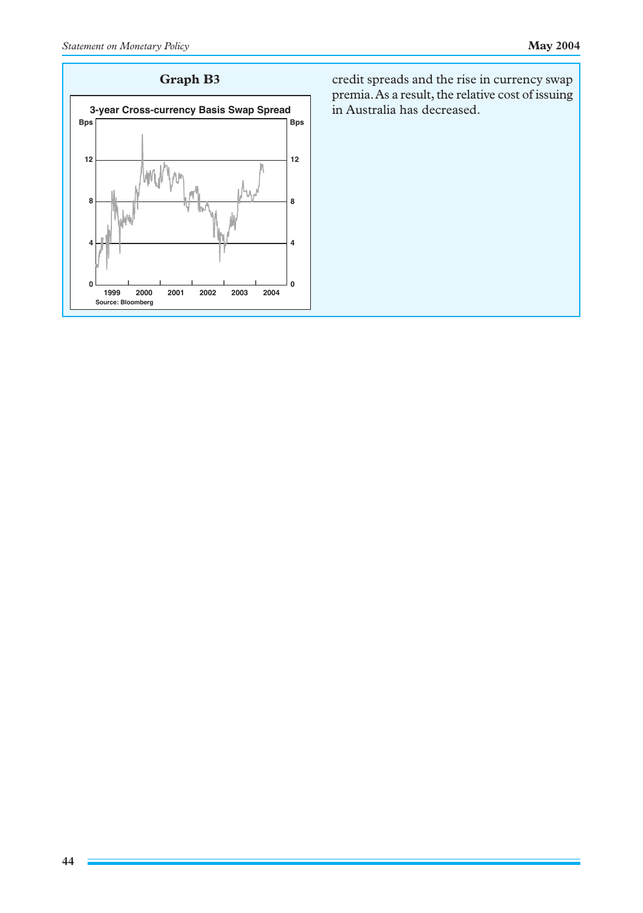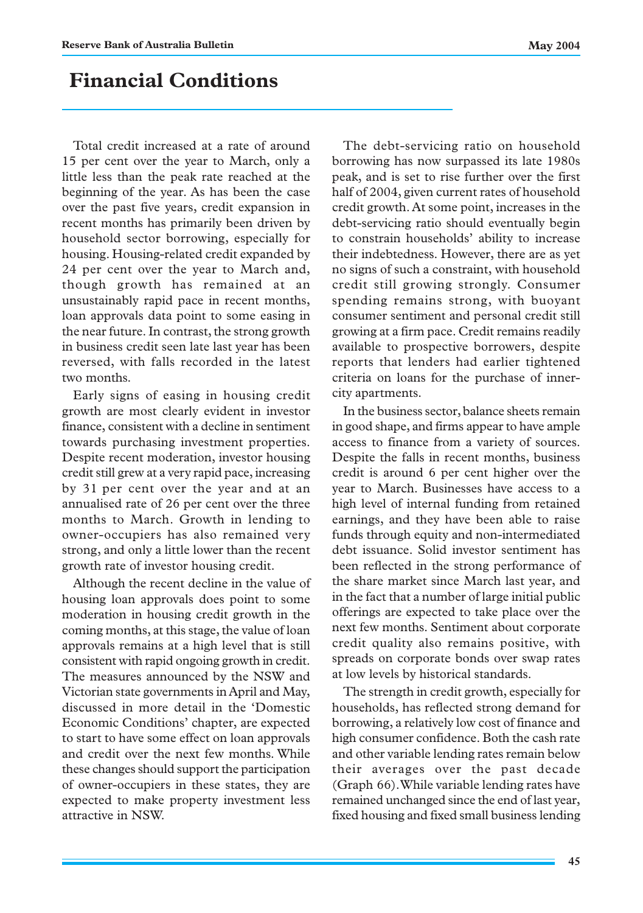# **Financial Conditions**

Total credit increased at a rate of around 15 per cent over the year to March, only a little less than the peak rate reached at the beginning of the year. As has been the case over the past five years, credit expansion in recent months has primarily been driven by household sector borrowing, especially for housing. Housing-related credit expanded by 24 per cent over the year to March and, though growth has remained at an unsustainably rapid pace in recent months, loan approvals data point to some easing in the near future. In contrast, the strong growth in business credit seen late last year has been reversed, with falls recorded in the latest two months.

Early signs of easing in housing credit growth are most clearly evident in investor finance, consistent with a decline in sentiment towards purchasing investment properties. Despite recent moderation, investor housing credit still grew at a very rapid pace, increasing by 31 per cent over the year and at an annualised rate of 26 per cent over the three months to March. Growth in lending to owner-occupiers has also remained very strong, and only a little lower than the recent growth rate of investor housing credit.

Although the recent decline in the value of housing loan approvals does point to some moderation in housing credit growth in the coming months, at this stage, the value of loan approvals remains at a high level that is still consistent with rapid ongoing growth in credit. The measures announced by the NSW and Victorian state governments in April and May, discussed in more detail in the 'Domestic Economic Conditions' chapter, are expected to start to have some effect on loan approvals and credit over the next few months. While these changes should support the participation of owner-occupiers in these states, they are expected to make property investment less attractive in NSW.

The debt-servicing ratio on household borrowing has now surpassed its late 1980s peak, and is set to rise further over the first half of 2004, given current rates of household credit growth. At some point, increases in the debt-servicing ratio should eventually begin to constrain households' ability to increase their indebtedness. However, there are as yet no signs of such a constraint, with household credit still growing strongly. Consumer spending remains strong, with buoyant consumer sentiment and personal credit still growing at a firm pace. Credit remains readily available to prospective borrowers, despite reports that lenders had earlier tightened criteria on loans for the purchase of innercity apartments.

In the business sector, balance sheets remain in good shape, and firms appear to have ample access to finance from a variety of sources. Despite the falls in recent months, business credit is around 6 per cent higher over the year to March. Businesses have access to a high level of internal funding from retained earnings, and they have been able to raise funds through equity and non-intermediated debt issuance. Solid investor sentiment has been reflected in the strong performance of the share market since March last year, and in the fact that a number of large initial public offerings are expected to take place over the next few months. Sentiment about corporate credit quality also remains positive, with spreads on corporate bonds over swap rates at low levels by historical standards.

The strength in credit growth, especially for households, has reflected strong demand for borrowing, a relatively low cost of finance and high consumer confidence. Both the cash rate and other variable lending rates remain below their averages over the past decade (Graph 66). While variable lending rates have remained unchanged since the end of last year, fixed housing and fixed small business lending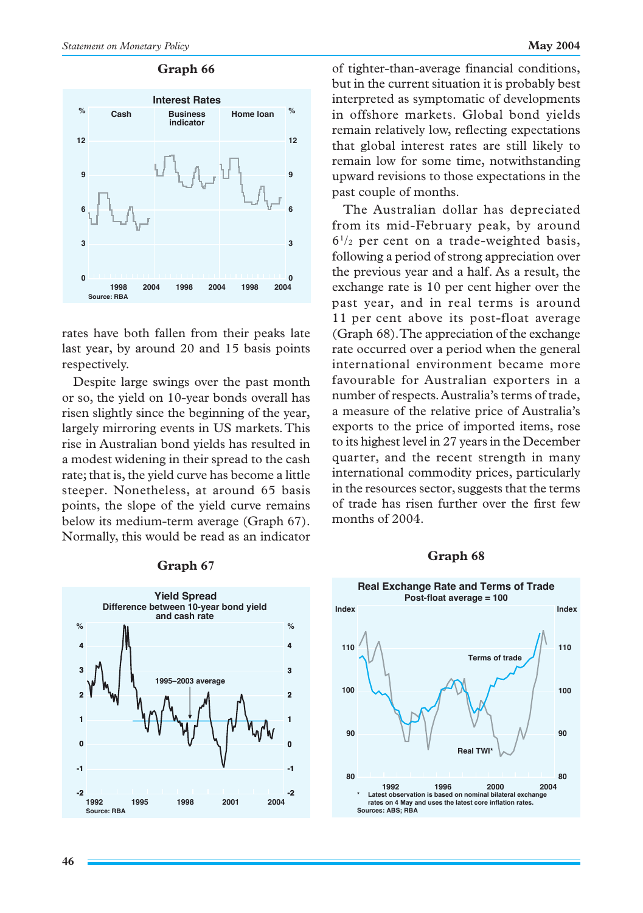

rates have both fallen from their peaks late last year, by around 20 and 15 basis points respectively.

Despite large swings over the past month or so, the yield on 10-year bonds overall has risen slightly since the beginning of the year, largely mirroring events in US markets. This rise in Australian bond yields has resulted in a modest widening in their spread to the cash rate; that is, the yield curve has become a little steeper. Nonetheless, at around 65 basis points, the slope of the yield curve remains below its medium-term average (Graph 67). Normally, this would be read as an indicator



Graph 66 of tighter-than-average financial conditions, but in the current situation it is probably best interpreted as symptomatic of developments in offshore markets. Global bond yields remain relatively low, reflecting expectations that global interest rates are still likely to remain low for some time, notwithstanding upward revisions to those expectations in the past couple of months.

> The Australian dollar has depreciated from its mid-February peak, by around  $6^{1/2}$  per cent on a trade-weighted basis, following a period of strong appreciation over the previous year and a half. As a result, the exchange rate is 10 per cent higher over the past year, and in real terms is around 11 per cent above its post-float average (Graph 68). The appreciation of the exchange rate occurred over a period when the general international environment became more favourable for Australian exporters in a number of respects. Australia's terms of trade, a measure of the relative price of Australia's exports to the price of imported items, rose to its highest level in 27 years in the December quarter, and the recent strength in many international commodity prices, particularly in the resources sector, suggests that the terms of trade has risen further over the first few months of 2004.

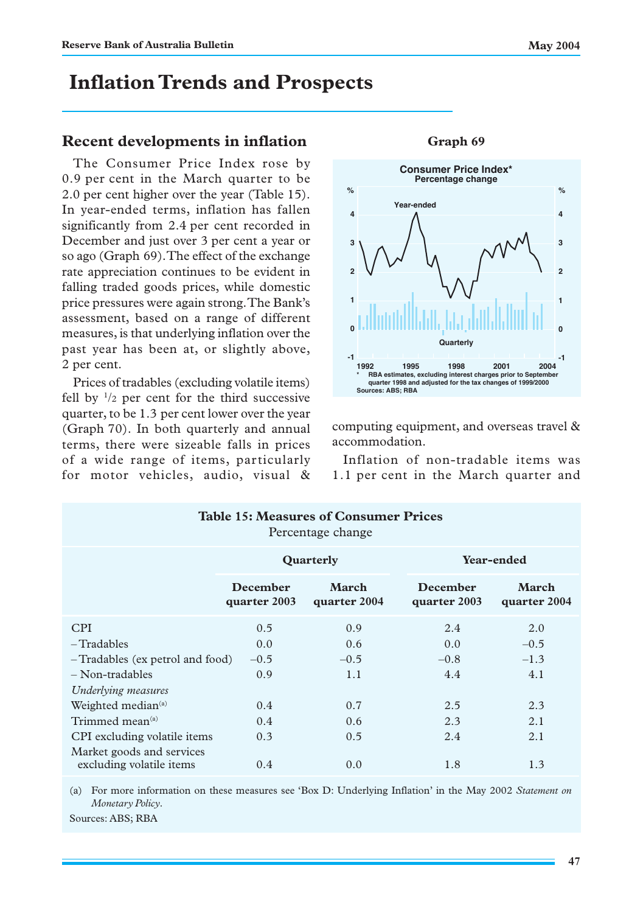# **Inflation Trends and Prospects**

# **Recent developments in inflation**

The Consumer Price Index rose by 0.9 per cent in the March quarter to be 2.0 per cent higher over the year (Table 15). In year-ended terms, inflation has fallen significantly from 2.4 per cent recorded in December and just over 3 per cent a year or so ago (Graph 69). The effect of the exchange rate appreciation continues to be evident in falling traded goods prices, while domestic price pressures were again strong. The Bank's assessment, based on a range of different measures, is that underlying inflation over the past year has been at, or slightly above, 2 per cent.

Prices of tradables (excluding volatile items) fell by  $\frac{1}{2}$  per cent for the third successive quarter, to be 1.3 per cent lower over the year (Graph 70). In both quarterly and annual terms, there were sizeable falls in prices of a wide range of items, particularly for motor vehicles, audio, visual & **-1 0 1 2 3 4 -1 0 1 2 3 4 Consumer Price Index\* Percentage change 2004 % % Year-ended Quarterly 1992 1998 1995 2001 \* RBA estimates, excluding interest charges prior to September quarter 1998 and adjusted for the tax changes of 1999/2000 Sources: ABS; RBA**

computing equipment, and overseas travel & accommodation.

Inflation of non-tradable items was 1.1 per cent in the March quarter and

| <b>Table 15: Measures of Consumer Prices</b><br>Percentage change |                                 |                       |                                 |                       |  |  |
|-------------------------------------------------------------------|---------------------------------|-----------------------|---------------------------------|-----------------------|--|--|
|                                                                   |                                 | Quarterly             | <b>Year-ended</b>               |                       |  |  |
|                                                                   | <b>December</b><br>quarter 2003 | March<br>quarter 2004 | <b>December</b><br>quarter 2003 | March<br>quarter 2004 |  |  |
| <b>CPI</b>                                                        | 0.5                             | 0.9                   | 2.4                             | 2.0                   |  |  |
| $-$ Tradables                                                     | 0.0                             | 0.6                   | 0.0                             | $-0.5$                |  |  |
| -Tradables (ex petrol and food)                                   | $-0.5$                          | $-0.5$                | $-0.8$                          | $-1.3$                |  |  |
| $-$ Non-tradables                                                 | 0.9                             | 1.1                   | 4.4                             | 4.1                   |  |  |
| Underlying measures                                               |                                 |                       |                                 |                       |  |  |
| Weighted median <sup>(a)</sup>                                    | $0.4^{\circ}$                   | 0.7                   | 2.5                             | 2.3                   |  |  |
| Trimmed mean <sup>(a)</sup>                                       | 0.4                             | 0.6                   | 2.3                             | 2.1                   |  |  |
| CPI excluding volatile items<br>Market goods and services         | 0.3                             | 0.5                   | 2.4                             | 2.1                   |  |  |
| excluding volatile items                                          | 0.4                             | 0.0                   | 1.8                             | 1.3                   |  |  |

(a) For more information on these measures see 'Box D: Underlying Inflation' in the May 2002 *Statement on Monetary Policy*.

Sources: ABS; RBA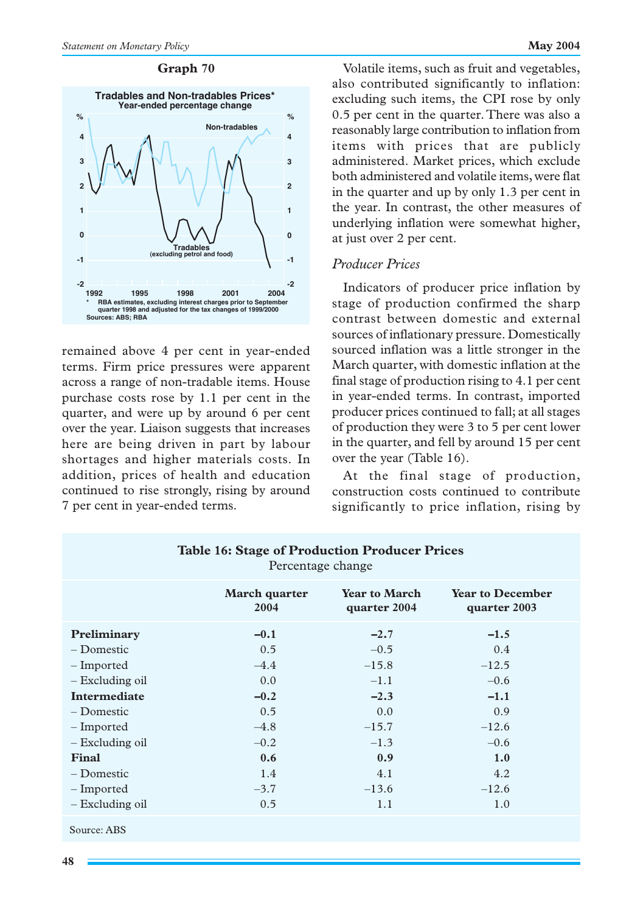

remained above 4 per cent in year-ended terms. Firm price pressures were apparent across a range of non-tradable items. House purchase costs rose by 1.1 per cent in the quarter, and were up by around 6 per cent over the year. Liaison suggests that increases here are being driven in part by labour shortages and higher materials costs. In addition, prices of health and education continued to rise strongly, rising by around 7 per cent in year-ended terms.

Volatile items, such as fruit and vegetables, also contributed significantly to inflation: excluding such items, the CPI rose by only 0.5 per cent in the quarter. There was also a reasonably large contribution to inflation from items with prices that are publicly administered. Market prices, which exclude both administered and volatile items, were flat in the quarter and up by only 1.3 per cent in the year. In contrast, the other measures of underlying inflation were somewhat higher, at just over 2 per cent.

# *Producer Prices*

Indicators of producer price inflation by stage of production confirmed the sharp contrast between domestic and external sources of inflationary pressure. Domestically sourced inflation was a little stronger in the March quarter, with domestic inflation at the final stage of production rising to 4.1 per cent in year-ended terms. In contrast, imported producer prices continued to fall; at all stages of production they were 3 to 5 per cent lower in the quarter, and fell by around 15 per cent over the year (Table 16).

At the final stage of production, construction costs continued to contribute significantly to price inflation, rising by

| Percentage change   |                                                                                                                 |         |         |  |  |  |  |  |
|---------------------|-----------------------------------------------------------------------------------------------------------------|---------|---------|--|--|--|--|--|
|                     | <b>Year to March</b><br><b>Year to December</b><br><b>March</b> quarter<br>2004<br>quarter 2004<br>quarter 2003 |         |         |  |  |  |  |  |
| Preliminary         | $-0.1$                                                                                                          | $-2.7$  | $-1.5$  |  |  |  |  |  |
| – Domestic          | 0.5                                                                                                             | $-0.5$  | 0.4     |  |  |  |  |  |
| – Imported          | $-4.4$                                                                                                          | $-15.8$ | $-12.5$ |  |  |  |  |  |
| - Excluding oil     | 0.0                                                                                                             | $-1.1$  | $-0.6$  |  |  |  |  |  |
| <b>Intermediate</b> | $-0.2$                                                                                                          | $-2.3$  | $-1.1$  |  |  |  |  |  |
| – Domestic          | 0.5                                                                                                             | 0.0     | 0.9     |  |  |  |  |  |
| - Imported          | $-4.8$                                                                                                          | $-15.7$ | $-12.6$ |  |  |  |  |  |
| - Excluding oil     | $-0.2$                                                                                                          | $-1.3$  | $-0.6$  |  |  |  |  |  |
| Final               | 0.6                                                                                                             | 0.9     | 1.0     |  |  |  |  |  |
| – Domestic          | 1.4                                                                                                             | 4.1     | 4.2     |  |  |  |  |  |
| – Imported          | $-3.7$                                                                                                          | $-13.6$ | $-12.6$ |  |  |  |  |  |
| - Excluding oil     | 0.5                                                                                                             | 1.1     | 1.0     |  |  |  |  |  |
| Source: ABS         |                                                                                                                 |         |         |  |  |  |  |  |

# **Table 16: Stage of Production Producer Prices**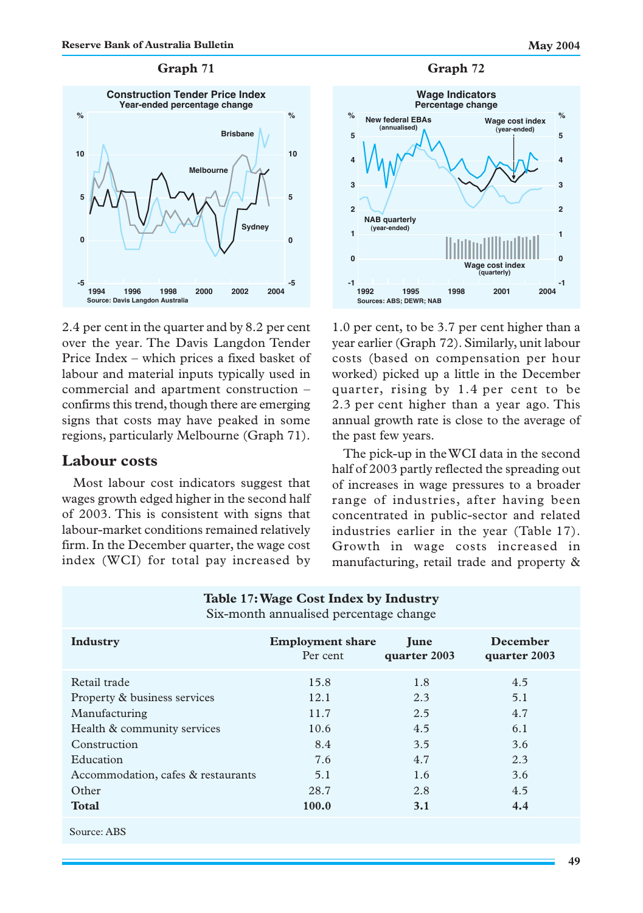

2.4 per cent in the quarter and by 8.2 per cent over the year. The Davis Langdon Tender Price Index – which prices a fixed basket of labour and material inputs typically used in commercial and apartment construction – confirms this trend, though there are emerging signs that costs may have peaked in some regions, particularly Melbourne (Graph 71).

# **Labour costs**

Most labour cost indicators suggest that wages growth edged higher in the second half of 2003. This is consistent with signs that labour-market conditions remained relatively firm. In the December quarter, the wage cost index (WCI) for total pay increased by



1.0 per cent, to be 3.7 per cent higher than a year earlier (Graph 72). Similarly, unit labour costs (based on compensation per hour worked) picked up a little in the December quarter, rising by 1.4 per cent to be 2.3 per cent higher than a year ago. This annual growth rate is close to the average of the past few years.

The pick-up in the WCI data in the second half of 2003 partly reflected the spreading out of increases in wage pressures to a broader range of industries, after having been concentrated in public-sector and related industries earlier in the year (Table 17). Growth in wage costs increased in manufacturing, retail trade and property &

| Table 17: Wage Cost Index by Industry<br>Six-month annualised percentage change |                         |              |                 |  |  |
|---------------------------------------------------------------------------------|-------------------------|--------------|-----------------|--|--|
| <b>Industry</b>                                                                 | <b>Employment share</b> | <b>June</b>  | <b>December</b> |  |  |
|                                                                                 | Per cent                | quarter 2003 | quarter 2003    |  |  |
| Retail trade                                                                    | 15.8                    | 1.8          | 4.5             |  |  |
| Property & business services                                                    | 12.1                    | 2.3          | 5.1             |  |  |
| Manufacturing                                                                   | 11.7                    | 2.5          | 4.7             |  |  |
| Health & community services                                                     | 10.6                    | 4.5          | 6.1             |  |  |
| Construction                                                                    | 8.4                     | 3.5          | 3.6             |  |  |
| Education                                                                       | 7.6                     | 4.7          | 2.3             |  |  |
| Accommodation, cafes & restaurants                                              | 5.1                     | 1.6          | 3.6             |  |  |
| Other                                                                           | 28.7                    | 2.8          | 4.5             |  |  |
| <b>Total</b>                                                                    | 100.0                   | 3.1          | 4.4             |  |  |

Graph 71 **Graph 72** 

Source: ABS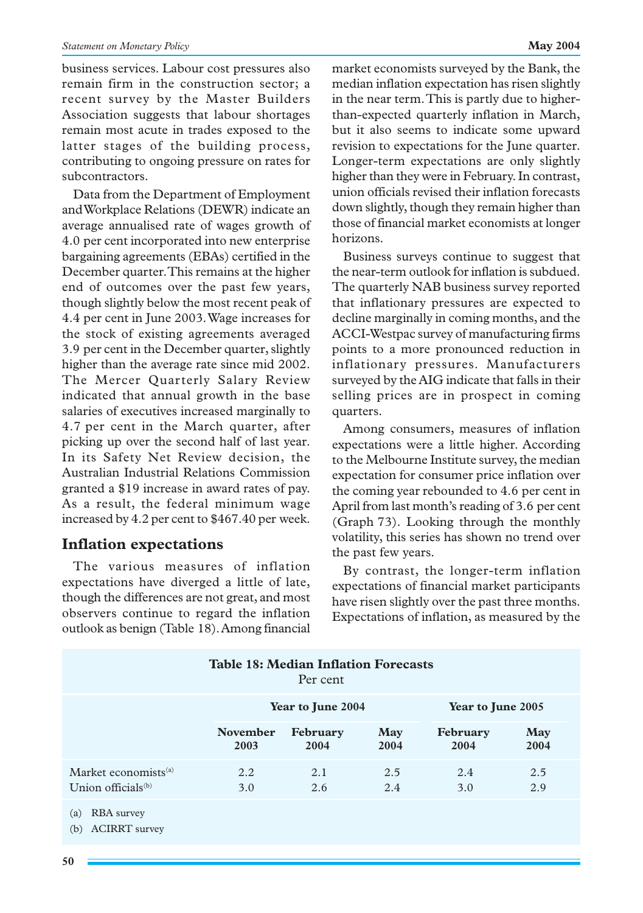business services. Labour cost pressures also remain firm in the construction sector; a recent survey by the Master Builders Association suggests that labour shortages remain most acute in trades exposed to the latter stages of the building process, contributing to ongoing pressure on rates for subcontractors.

Data from the Department of Employment and Workplace Relations (DEWR) indicate an average annualised rate of wages growth of 4.0 per cent incorporated into new enterprise bargaining agreements (EBAs) certified in the December quarter. This remains at the higher end of outcomes over the past few years, though slightly below the most recent peak of 4.4 per cent in June 2003. Wage increases for the stock of existing agreements averaged 3.9 per cent in the December quarter, slightly higher than the average rate since mid 2002. The Mercer Quarterly Salary Review indicated that annual growth in the base salaries of executives increased marginally to 4.7 per cent in the March quarter, after picking up over the second half of last year. In its Safety Net Review decision, the Australian Industrial Relations Commission granted a \$19 increase in award rates of pay. As a result, the federal minimum wage increased by 4.2 per cent to \$467.40 per week.

# **Inflation expectations**

The various measures of inflation expectations have diverged a little of late, though the differences are not great, and most observers continue to regard the inflation outlook as benign (Table 18). Among financial market economists surveyed by the Bank, the median inflation expectation has risen slightly in the near term. This is partly due to higherthan-expected quarterly inflation in March, but it also seems to indicate some upward revision to expectations for the June quarter. Longer-term expectations are only slightly higher than they were in February. In contrast, union officials revised their inflation forecasts down slightly, though they remain higher than those of financial market economists at longer horizons.

Business surveys continue to suggest that the near-term outlook for inflation is subdued. The quarterly NAB business survey reported that inflationary pressures are expected to decline marginally in coming months, and the ACCI-Westpac survey of manufacturing firms points to a more pronounced reduction in inflationary pressures. Manufacturers surveyed by the AIG indicate that falls in their selling prices are in prospect in coming quarters.

Among consumers, measures of inflation expectations were a little higher. According to the Melbourne Institute survey, the median expectation for consumer price inflation over the coming year rebounded to 4.6 per cent in April from last month's reading of 3.6 per cent (Graph 73). Looking through the monthly volatility, this series has shown no trend over the past few years.

By contrast, the longer-term inflation expectations of financial market participants have risen slightly over the past three months. Expectations of inflation, as measured by the

|                                                  | <b>Table 18: Median Inflation Forecasts</b> | Per cent                |                   |                  |             |  |
|--------------------------------------------------|---------------------------------------------|-------------------------|-------------------|------------------|-------------|--|
| Year to June 2004                                |                                             |                         | Year to June 2005 |                  |             |  |
|                                                  | <b>November</b><br>2003                     | <b>February</b><br>2004 | May<br>2004       | February<br>2004 | May<br>2004 |  |
| Market economists $(a)$<br>Union officials $(b)$ | 2.2<br>3.0                                  | 2.1<br>2.6              | 2.5<br>2.4        | 2.4<br>3.0       | 2.5<br>2.9  |  |
| $(a)$ $\text{PPA}$ curvay                        |                                             |                         |                   |                  |             |  |

(a) RBA survey

(b) ACIRRT survey